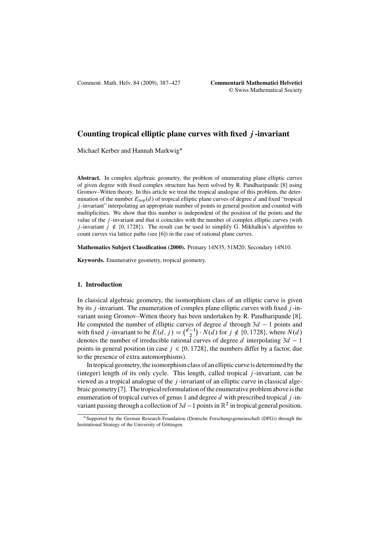# **Counting tropical elliptic plane curves with fixed** j **-invariant**

Michael Kerber and Hannah Markwig\*

**Abstract.** In complex algebraic geometry, the problem of enumerating plane elliptic curves of given degree with fixed complex structure has been solved by R. Pandharipande [\[8\]](#page-40-0) using Gromov–Witten theory. In this article we treat the tropical analogue of this problem, the determination of the number  $E_{\text{trop}}(d)$  of tropical elliptic plane curves of degree d and fixed "tropical" j -invariant" interpolating an appropriate number of points in general position and counted with multiplicities. We show that this number is independent of the position of the points and the value of the  $j$ -invariant and that it coincides with the number of complex elliptic curves (with j-invariant  $j \notin \{0, 1728\}$ . The result can be used to simplify G. Mikhalkin's algorithm to count curves via lattice paths (see [\[6\]](#page-40-0)) in the case of rational plane curves.

**Mathematics Subject Classification (2000).** Primary 14N35, 51M20; Secondary 14N10.

**Keywords.** Enumerative geometry, tropical geometry.

### **1. Introduction**

In classical algebraic geometry, the isomorphism class of an elliptic curve is given by its  $j$ -invariant. The enumeration of complex plane elliptic curves with fixed  $j$ -invariant using Gromov–Witten theory has been undertaken by R. Pandharipande [\[8\]](#page-40-0). He computed the number of elliptic curves of degree d through  $3d - 1$  points and<br>with fixed i-invariant to be  $F(d, i) = {d-1 \choose 1}$ ,  $N(d)$  for  $i \neq 0$ , 1728), where  $N(d)$ with fixed j-invariant to be  $E(d, j) = {d-1 \choose 2} \cdot N(d)$  for  $j \notin \{0, 1728\}$ , where  $N(d)$  denotes the number of irreducible rational curves of degree d interpolating  $3d - 1$ denotes the number of irreducible rational curves of degree d interpolating  $3d - 1$ <br>points in general position (in case,  $i \in \{0, 1728\}$ ) the numbers differ by a factor, due points in general position (in case  $j \in \{0, 1728\}$ , the numbers differ by a factor, due to the presence of extra automorphisms).

In tropical geometry, the isomorphism class of an elliptic curve is determined by the (integer) length of its only cycle. This length, called tropical  $j$ -invariant, can be viewed as a tropical analogue of the  $j$ -invariant of an elliptic curve in classical algebraic geometry [\[7\]](#page-40-0). The tropical reformulation of the enumerative problem above is the enumeration of tropical curves of genus 1 and degree  $d$  with prescribed tropical  $j$ -invariant passing through a collection of  $3d - 1$  points in  $\mathbb{R}^2$  in tropical general position.

<sup>-</sup>Supported by the German Research Foundation (Deutsche Forschungsgemeinschaft (DFG)) through the Institutional Strategy of the University of Göttingen.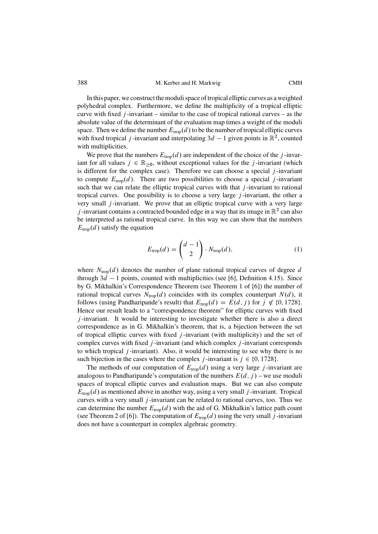In this paper, we construct the moduli space of tropical elliptic curves as a weighted polyhedral complex. Furthermore, we define the multiplicity of a tropical elliptic curve with fixed  $j$ -invariant – similar to the case of tropical rational curves – as the absolute value of the determinant of the evaluation map times a weight of the moduli space. Then we define the number  $E_{\text{trop}}(d)$  to be the number of tropical elliptic curves with fixed tropical *j*-invariant and interpolating  $3d - 1$  given points in  $\mathbb{R}^2$ , counted with multiplicities with multiplicities.

We prove that the numbers  $E_{\text{trop}}(d)$  are independent of the choice of the j-invariant for all values  $j \in \mathbb{R}_{>0}$ , without exceptional values for the j-invariant (which is different for the complex case). Therefore we can choose a special  $j$ -invariant to compute  $E_{\text{trop}}(d)$ . There are two possibilities to choose a special j-invariant such that we can relate the elliptic tropical curves with that  $j$ -invariant to rational tropical curves. One possibility is to choose a very large  $j$ -invariant, the other a very small  $j$ -invariant. We prove that an elliptic tropical curve with a very large j-invariant contains a contracted bounded edge in a way that its image in  $\mathbb{R}^2$  can also be interpreted as rational tropical curve. In this way we can show that the numbers  $E_{\text{trop}}(d)$  satisfy the equation

$$
E_{\text{trop}}(d) = \binom{d-1}{2} \cdot N_{\text{trop}}(d),\tag{1}
$$

where  $N_{\text{trop}}(d)$  denotes the number of plane rational tropical curves of degree d through  $3d - 1$  points, counted with multiplicities (see [\[6\]](#page-40-0), Definition 4.15). Since by G. Mikhalkin's Correspondence Theorem (see Theorem 1 of [6]) the number of by G. Mikhalkin's Correspondence Theorem (see Theorem 1 of [\[6\]](#page-40-0)) the number of rational tropical curves  $N_{\text{trop}}(d)$  coincides with its complex counterpart  $N(d)$ , it follows (using Pandharipande's result) that  $E_{\text{trop}}(d) = E(d, j)$  for  $j \notin \{0, 1728\}$ . Hence our result leads to a "correspondence theorem" for elliptic curves with fixed  $j$ -invariant. It would be interesting to investigate whether there is also a direct correspondence as in G. Mikhalkin's theorem, that is, a bijection between the set of tropical elliptic curves with fixed  $j$ -invariant (with multiplicity) and the set of complex curves with fixed  $j$ -invariant (and which complex  $j$ -invariant corresponds to which tropical j -invariant). Also, it would be interesting to see why there is no such bijection in the cases where the complex j-invariant is  $j \in \{0, 1728\}$ .

The methods of our computation of  $E_{\text{trop}}(d)$  using a very large j-invariant are analogous to Pandharipande's computation of the numbers  $E(d, j)$  – we use moduli spaces of tropical elliptic curves and evaluation maps. But we can also compute  $E_{\text{trop}}(d)$  as mentioned above in another way, using a very small j-invariant. Tropical curves with a very small  $j$ -invariant can be related to rational curves, too. Thus we can determine the number  $E_{\text{trop}}(d)$  with the aid of G. Mikhalkin's lattice path count (see Theorem 2 of [\[6\]](#page-40-0)). The computation of  $E_{\text{trop}}(d)$  using the very small j-invariant does not have a counterpart in complex algebraic geometry.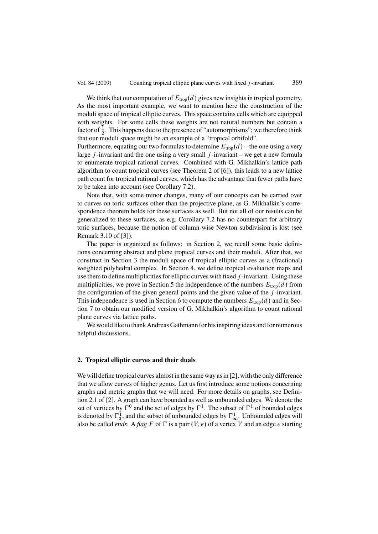We think that our computation of  $E_{\text{trop}}(d)$  gives new insights in tropical geometry. As the most important example, we want to mention here the construction of the moduli space of tropical elliptic curves. This space contains cells which are equipped with weights. For some cells these weights are not natural numbers but contain a factor of  $\frac{1}{2}$ . This happens due to the presence of "automorphisms"; we therefore think that our moduli space might be an example of a "tropical orbifold".

Furthermore, equating our two formulas to determine  $E_{\text{trop}}(d)$  – the one using a very large  $j$ -invariant and the one using a very small  $j$ -invariant – we get a new formula to enumerate tropical rational curves. Combined with G. Mikhalkin's lattice path algorithm to count tropical curves (see Theorem 2 of [\[6\]](#page-40-0)), this leads to a new lattice path count for tropical rational curves, which has the advantage that fewer paths have to be taken into account (see Corollary [7.2\)](#page-37-0).

Note that, with some minor changes, many of our concepts can be carried over to curves on toric surfaces other than the projective plane, as G. Mikhalkin's correspondence theorem holds for these surfaces as well. But not all of our results can be generalized to these surfaces, as e.g. Corollary [7.2](#page-37-0) has no counterpart for arbitrary toric surfaces, because the notion of column-wise Newton subdivision is lost (see Remark 3.10 of [\[3\]](#page-40-0)).

The paper is organized as follows: in Section 2, we recall some basic definitions concerning abstract and plane tropical curves and their moduli. After that, we construct in Section 3 the moduli space of tropical elliptic curves as a (fractional) weighted polyhedral complex. In Section 4, we define tropical evaluation maps and use them to define multiplicities for elliptic curves with fixed  $j$ -invariant. Using these multiplicities, we prove in Section 5 the independence of the numbers  $E_{\text{trop}}(d)$  from the configuration of the given general points and the given value of the  $j$ -invariant. This independence is used in Section 6 to compute the numbers  $E_{\text{trop}}(d)$  and in Section 7 to obtain our modified version of G. Mikhalkin's algorithm to count rational plane curves via lattice paths.

We would like to thankAndreas Gathmann for his inspiring ideas and for numerous helpful discussions.

# **2. Tropical elliptic curves and their duals**

We will define tropical curves almost in the same way as in [\[2\]](#page-40-0), with the only difference that we allow curves of higher genus. Let us first introduce some notions concerning graphs and metric graphs that we will need. For more details on graphs, see Definition 2.1 of [\[2\]](#page-40-0). A graph can have bounded as well as unbounded edges. We denote the set of vertices by  $\Gamma^0$  and the set of edges by  $\Gamma^1$ . The subset of  $\Gamma^1$  of bounded edges is denoted by  $\Gamma_0^1$ , and the subset of unbounded edges by  $\Gamma_\infty^1$ . Unbounded edges will also be called *ends*. A *flag*  $F$  of  $\Gamma$  is a pair  $(V, e)$  of a vertex V and an edge e starting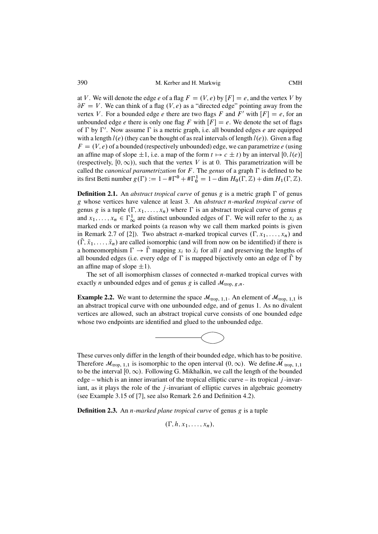<span id="page-3-0"></span>at V. We will denote the edge e of a flag  $F = (V, e)$  by  $[F] = e$ , and the vertex V by  $\partial F = V$ . We can think of a flag  $(V, e)$  as a "directed edge" pointing away from the vertex V. For a bounded edge e there are two flags F and F' with  $[F] = e$ , for an unbounded edge e there is only one flag F with  $[F] = e$ . We denote the set of flags of  $\Gamma$  by  $\Gamma'$ . Now assume  $\Gamma$  is a metric graph, i.e. all bounded edges e are equipped with a length  $l(e)$  (they can be thought of as real intervals of length  $l(e)$ ). Given a flag  $F = (V, e)$  of a bounded (respectively unbounded) edge, we can parametrize e (using an affine map of slope  $\pm 1$ , i.e. a map of the form  $t \mapsto c \pm t$ ) by an interval [0,  $l(e)$ ] (respectively,  $[0, \infty)$ ), such that the vertex V is at 0. This parametrization will be called the *canonical parametrization* for  $F$ . The *genus* of a graph  $\Gamma$  is defined to be its first Betti number  $g(\Gamma) := 1 - \#\Gamma^0 + \#\Gamma_0^1 = 1 - \dim H_0(\Gamma, \mathbb{Z}) + \dim H_1(\Gamma, \mathbb{Z})$ .

**Definition 2.1.** An *abstract tropical curve* of genus  $g$  is a metric graph  $\Gamma$  of genus g whose vertices have valence at least 3. An *abstract* n*-marked tropical curve* of genus g is a tuple  $(\Gamma, x_1, \ldots, x_n)$  where  $\Gamma$  is an abstract tropical curve of genus g and  $x_1, \ldots, x_n \in \Gamma^1_{\infty}$  are distinct unbounded edges of  $\Gamma$ . We will refer to the  $x_i$  as marked ends or marked points (a reason why we call them marked points is given marked ends or marked points (a reason why we call them marked points is given in Remark 2.7 of [\[2\]](#page-40-0)). Two abstract *n*-marked tropical curves  $(\Gamma, x_1, \ldots, x_n)$  and  $(\Gamma, \tilde{x}_1, \ldots, \tilde{x}_n)$  are called isomorphic (and will from now on be identified) if there is<br>a homeomorphism  $\Gamma \rightarrow \tilde{\Gamma}$  mapping x; to  $\tilde{x}$ ; for all *i* and preserving the lengths of a homeomorphism  $\Gamma \to \Gamma$  mapping  $x_i$  to  $\tilde{x}_i$  for all i and preserving the lengths of all hounded edges (i.e. every edge of  $\Gamma$  is mapped bijectively onto an edge of  $\tilde{\Gamma}$  by all bounded edges (i.e. every edge of  $\Gamma$  is mapped bijectively onto an edge of  $\Gamma$  by an affine map of slope  $\pm 1$ ).

The set of all isomorphism classes of connected  $n$ -marked tropical curves with exactly *n* unbounded edges and of genus *g* is called  $\mathcal{M}_{\text{trop, g},n}$ .

**Example 2.2.** We want to determine the space  $\mathcal{M}_{\text{trop, 1,1}}$ . An element of  $\mathcal{M}_{\text{trop, 1,1}}$  is an abstract tropical curve with one unbounded edge, and of genus 1. As no divalent vertices are allowed, such an abstract tropical curve consists of one bounded edge whose two endpoints are identified and glued to the unbounded edge.



These curves only differ in the length of their bounded edge, which has to be positive. Therefore  $\mathcal{M}_{\text{trop, 1,1}}$  is isomorphic to the open interval  $(0,\infty)$ . We define  $\mathcal{M}_{\text{trop, 1,1}}$ to be the interval  $[0,\infty)$ . Following G. Mikhalkin, we call the length of the bounded edge – which is an inner invariant of the tropical elliptic curve – its tropical  $j$ -invariant, as it plays the role of the  $j$ -invariant of elliptic curves in algebraic geometry (see Example 3.15 of [\[7\]](#page-40-0), see also Remark [2.6](#page-4-0) and Definition [4.2\)](#page-12-0).

**Definition 2.3.** An n*-marked plane tropical curve* of genus g is a tuple

$$
(\Gamma, h, x_1, \ldots, x_n),
$$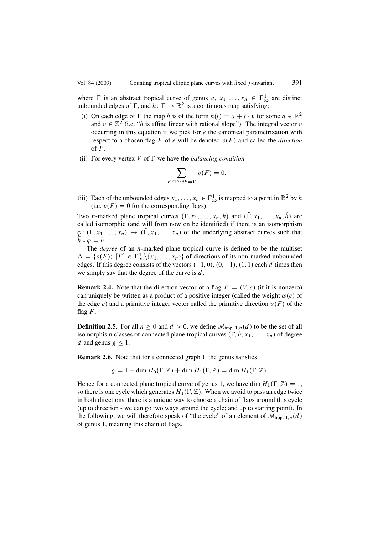<span id="page-4-0"></span>where  $\Gamma$  is an abstract tropical curve of genus g,  $x_1, \ldots, x_n \in \Gamma^1_{\infty}$  are distinct<br>unbounded edges of  $\Gamma$  and  $h: \Gamma \to \mathbb{R}^2$  is a continuous man satisfying: unbounded edges of  $\Gamma$ , and  $h: \Gamma \to \mathbb{R}^2$  is a continuous map satisfying:

- (i) On each edge of  $\Gamma$  the map h is of the form  $h(t) = a + t \cdot v$  for some  $a \in \mathbb{R}^2$ <br>and  $v \in \mathbb{Z}^2$  (i.e. "h is affine linear with rational slope"). The integral vector v and  $v \in \mathbb{Z}^2$  (i.e. "*h* is affine linear with rational slope"). The integral vector v occurring in this equation if we pick for  $e$  the canonical parametrization with respect to a chosen flag  $F$  of  $e$  will be denoted  $v(F)$  and called the *direction* of  $F$ .
- (ii) For every vertex  $V$  of  $\Gamma$  we have the *balancing condition*

$$
\sum_{F \in \Gamma': \partial F = V} v(F) = 0.
$$

(iii) Each of the unbounded edges  $x_1, \ldots, x_n \in \Gamma^1_{\infty}$  is mapped to a point in  $\mathbb{R}^2$  by h<br>(i.e.  $v(F) = 0$  for the corresponding flags) (i.e.  $v(F) = 0$  for the corresponding flags).

Two *n*-marked plane tropical curves  $(\Gamma, x_1, \ldots, x_n, h)$  and  $(\Gamma, \tilde{x}_1, \ldots, \tilde{x}_n, h)$  are called isomorphic (and will from now on be identified) if there is an isomorphism called isomorphic (and will from now on be identified) if there is an isomorphism  $\varphi: (\Gamma, x_1, \ldots, x_n) \to (\Gamma, \tilde{x}_1, \ldots, \tilde{x}_n)$  of the underlying abstract curves such that  $\tilde{h} \circ \varphi = h$  $\tilde{h} \circ \varphi = h.$ 

The *degree* of an *n*-marked plane tropical curve is defined to be the multiset  $\Delta = \{v(F); [F] \in \Gamma^1_{\infty} \setminus \{x_1, \ldots, x_n\} \}$  of directions of its non-marked unbounded edges. If this degree consists of the vectors (-1, 0), (0, -1), (1, 1) each *d* times then edges. If this degree consists of the vectors  $(-1, 0)$ ,  $(0, -1)$ ,  $(1, 1)$  each d times then<br>we simply say that the degree of the curve is d we simply say that the degree of the curve is  $d$ .

**Remark 2.4.** Note that the direction vector of a flag  $F = (V, e)$  (if it is nonzero) can uniquely be written as a product of a positive integer (called the weight  $\omega(e)$  of the edge e) and a primitive integer vector called the primitive direction  $u(F)$  of the flag  $F$ .

**Definition 2.5.** For all  $n \geq 0$  and  $d > 0$ , we define  $\mathcal{M}_{\text{trop, 1},n}(d)$  to be the set of all isomorphism classes of connected plane tropical curves  $(\Gamma, h, x_1, \ldots, x_n)$  of degree d and genus  $g \leq 1$ .

**Remark 2.6.** Note that for a connected graph  $\Gamma$  the genus satisfies

$$
g = 1 - \dim H_0(\Gamma, \mathbb{Z}) + \dim H_1(\Gamma, \mathbb{Z}) = \dim H_1(\Gamma, \mathbb{Z}).
$$

Hence for a connected plane tropical curve of genus 1, we have dim  $H_1(\Gamma, \mathbb{Z}) = 1$ ,<br>so there is one cycle which generates  $H_1(\Gamma, \mathbb{Z})$ . When we avoid to pass an edge twice so there is one cycle which generates  $H_1(\Gamma, \mathbb{Z})$ . When we avoid to pass an edge twice in both directions, there is a unique way to choose a chain of flags around this cycle (up to direction - we can go two ways around the cycle; and up to starting point). In the following, we will therefore speak of "the cycle" of an element of  $\mathcal{M}_{\text{trop, 1},n}(d)$ of genus 1, meaning this chain of flags.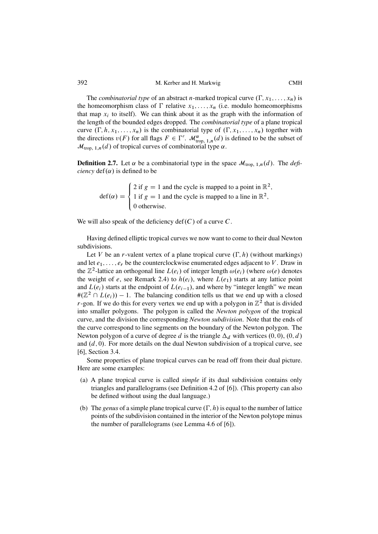The *combinatorial type* of an abstract *n*-marked tropical curve  $(\Gamma, x_1, \ldots, x_n)$  is the homeomorphism class of  $\Gamma$  relative  $x_1, \ldots, x_n$  (i.e. modulo homeomorphisms that map  $x_i$  to itself). We can think about it as the graph with the information of the length of the bounded edges dropped. The *combinatorial type* of a plane tropical curve  $(\Gamma, h, x_1, \ldots, x_n)$  is the combinatorial type of  $(\Gamma, x_1, \ldots, x_n)$  together with the directions  $v(F)$  for all flags  $F \in \Gamma'$ .  $\mathcal{M}^{\alpha}_{\text{top, 1},n}(d)$  is defined to be the subset of  $\mathcal{M}_{\text{trop, 1},n}(d)$  of tropical curves of combinatorial type  $\alpha$ .

**Definition 2.7.** Let  $\alpha$  be a combinatorial type in the space  $\mathcal{M}_{\text{trop, 1},n}(d)$ . The *deficiency*  $def(\alpha)$  is defined to be

 $\det(\alpha) =$  $\sqrt{2}$  $\int$  $\overline{\mathcal{L}}$ 2 if  $g = 1$  and the cycle is mapped to a point in  $\mathbb{R}^2$ ; 1 if  $g = 1$  and the cycle is mapped to a line in  $\mathbb{R}^2$ , 0 otherwise.

We will also speak of the deficiency  $\text{def}(C)$  of a curve C.

Having defined elliptic tropical curves we now want to come to their dual Newton subdivisions.

Let V be an r-valent vertex of a plane tropical curve  $(\Gamma, h)$  (without markings) and let  $e_1, \ldots, e_r$  be the counterclockwise enumerated edges adjacent to V. Draw in the  $\mathbb{Z}^2$ -lattice an orthogonal line  $L(e_i)$  of integer length  $\omega(e_i)$  (where  $\omega(e)$  denotes the weight of e, see Remark [2.4\)](#page-4-0) to  $h(e_i)$ , where  $L(e_1)$  starts at any lattice point and  $L(e_i)$  starts at the endpoint of  $L(e_{i-1})$ , and where by "integer length" we mean  $\#(\mathbb{Z}^2 \cap L(e_i)) - 1$ . The balancing condition tells us that we end up with a closed r-gon. If we do this for every vertex we end up with a polygon in  $\mathbb{Z}^2$  that is divided r-gon. If we do this for every vertex we end up with a polygon in  $\mathbb{Z}^2$  that is divided into smaller polygons. The polygon is called the *Newton polygon* of the tropical curve, and the division the corresponding *Newton subdivision*. Note that the ends of the curve correspond to line segments on the boundary of the Newton polygon. The Newton polygon of a curve of degree d is the triangle  $\Delta_d$  with vertices  $(0, 0)$ ,  $(0, d)$ and  $(d, 0)$ . For more details on the dual Newton subdivision of a tropical curve, see [\[6\]](#page-40-0), Section 3.4.

Some properties of plane tropical curves can be read off from their dual picture. Here are some examples:

- (a) A plane tropical curve is called *simple* if its dual subdivision contains only triangles and parallelograms (see Definition 4.2 of [\[6\]](#page-40-0)). (This property can also be defined without using the dual language.)
- (b) The *genus* of a simple plane tropical curve  $(\Gamma, h)$  is equal to the number of lattice points of the subdivision contained in the interior of the Newton polytope minus the number of parallelograms (see Lemma 4.6 of [\[6\]](#page-40-0)).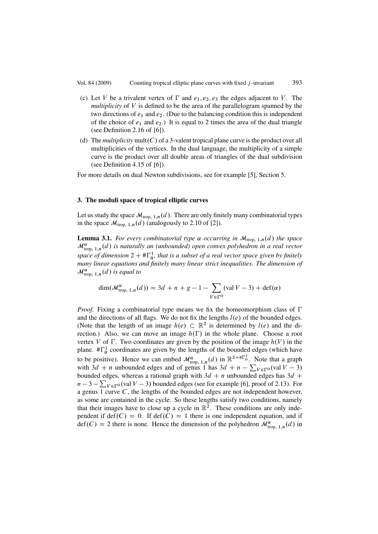- <span id="page-6-0"></span>(c) Let V be a trivalent vertex of  $\Gamma$  and  $e_1, e_2, e_3$  the edges adjacent to V. The *multiplicity* of V is defined to be the area of the parallelogram spanned by the two directions of  $e_1$  and  $e_2$ . (Due to the balancing condition this is independent of the choice of  $e_1$  and  $e_2$ .) It is equal to 2 times the area of the dual triangle (see Definition 2.16 of [\[6\]](#page-40-0)).
- (d) The *multiplicity* mult(C) of a 3-valent tropical plane curve is the product over all multiplicities of the vertices. In the dual language, the multiplicity of a simple curve is the product over all double areas of triangles of the dual subdivision (see Definition 4.15 of [\[6\]](#page-40-0)).

For more details on dual Newton subdivisions, see for example [\[5\]](#page-40-0), Section 5.

## **3. The moduli space of tropical elliptic curves**

Let us study the space  $\mathcal{M}_{\text{trop}, 1,n}(d)$ . There are only finitely many combinatorial types in the space  $\mathcal{M}_{\text{trop}, 1,n}(d)$  (analogously to 2.10 of [\[2\]](#page-40-0)).

**Lemma 3.1.** *For every combinatorial type*  $\alpha$  *occurring in*  $\mathcal{M}_{\text{trop, 1},n}(d)$  *the space*  $\mathcal{M}_{\text{trop}, 1,n}^{\alpha}(d)$  is naturally an (unbounded) open convex polyhedron in a real vector space of dimension  $2 + \text{\#}\Gamma^1_0$ , that is a subset of a real vector space given by finitely<br>many linear equations and finitely many linear strict inequalities. The dimension of *many linear equations and finitely many linear strict inequalities. The dimension of*  $\mathcal{M}_{\text{trop}, 1,n}^{\alpha}(d)$  is equal to

$$
\dim(\mathcal{M}^{\alpha}_{\text{trop, 1},n}(d)) = 3d + n + g - 1 - \sum_{V \in \Gamma^0} (\text{val } V - 3) + \text{def}(\alpha)
$$

*Proof.* Fixing a combinatorial type means we fix the homeomorphism class of  $\Gamma$ and the directions of all flags. We do not fix the lengths  $l(e)$  of the bounded edges. (Note that the length of an image  $h(e) \subset \mathbb{R}^2$  is determined by  $l(e)$  and the direction.) Also, we can move an image  $h(\Gamma)$  in the whole plane. Choose a root vertex V of  $\Gamma$ . Two coordinates are given by the position of the image  $h(V)$  in the plane.  $\#\Gamma_0^1$  coordinates are given by the lengths of the bounded edges (which have to be positive). Hence we can embed  $\mathcal{M}^{\alpha}_{\text{trop, 1},n}(d)$  in  $\mathbb{R}^{2+\# \Gamma_0^1}$ . Note that a graph with  $3d + n$  unbounded edges and of genus 1 has  $3d + n - \sum_{V \in \Gamma^0} (val V - 3)$ <br>bounded edges whereas a rational graph with  $3d + n$  unbounded edges has  $3d +$ bounded edges, whereas a rational graph with  $3d + n$  unbounded edges has  $3d +$  $n-3-\sum_{V \in \Gamma^0}$  (val  $V-3$ ) bounded edges (see for example [\[6\]](#page-40-0), proof of 2.13). For a genus  $1$  curve  $C$ , the lengths of the bounded edges are not independent however, as some are contained in the cycle. So these lengths satisfy two conditions, namely that their images have to close up a cycle in  $\mathbb{R}^2$ . These conditions are only independent if def $(C) = 0$ . If def $(C) = 1$  there is one independent equation, and if  $\det(C) = 2$  there is none. Hence the dimension of the polyhedron  $\mathcal{M}_{\text{trop, 1},n}^{\alpha}(d)$  in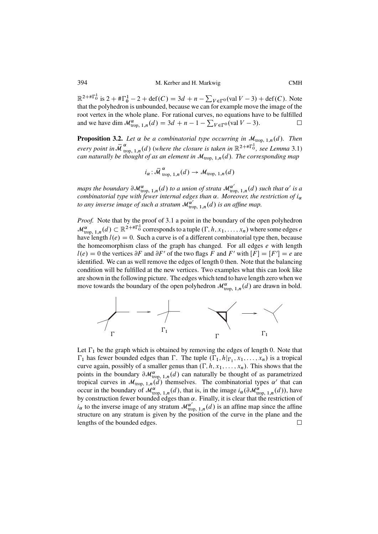<span id="page-7-0"></span> $\mathbb{R}^{2+\# \Gamma_0^1}$  is  $2+\# \Gamma_0^1-2+\text{def}(C)=3d+n-\sum_{V\in \Gamma^0} (\text{val }V-3)+\text{def}(C)$ . Note that the polyhedron is unbounded, because we can for example move the image of the root vertex in the whole plane. For rational curves, no equations have to be fulfilled and we have dim  $\mathcal{M}^{\alpha}_{\text{trop, 1},n}(d) = 3d + n - 1 - \sum_{V \in \Gamma^0} (\text{val } V - 3).$  $\Box$ 

**Proposition 3.2.** Let  $\alpha$  be a combinatorial type occurring in  $\mathcal{M}_{\text{trop, 1},n}(d)$ . Then *every point in*  $\overline{M}^{\alpha}_{\text{top, 1},n}(d)$  (*where the closure is taken in*  $\mathbb{R}^{2+\# \Gamma_0^1}$ *, see Lemma* [3.1\)](#page-6-0) *can naturally be thought of as an element in*  $\mathcal{M}_{\text{trop, 1},n}(d)$ *. The corresponding map* 

$$
i_{\alpha} : \overline{\mathcal{M}}_{\text{trop, 1}, n}^{\alpha}(d) \to \mathcal{M}_{\text{trop, 1}, n}(d)
$$

maps the boundary  $\partial \mathcal{M}_{\text{trop, 1},n}^{\alpha}(d)$  to a union of strata  $\mathcal{M}_{\text{trop, 1},n}^{\alpha'}(d)$  such that  $\alpha'$  is a *combinatorial type with fewer internal edges than*  $\alpha$ *. Moreover, the restriction of*  $i_{\alpha}$ to any inverse image of such a stratum  $\mathcal{M}_{\text{trop}, 1,n}^{\alpha'}(d)$  is an affine map.

*Proof.* Note that by the proof of [3.1](#page-6-0) a point in the boundary of the open polyhedron  $\mathcal{M}_{\text{trop, 1},n}^{\alpha}(d) \subset \mathbb{R}^{2+\# \Gamma_0^{\perp}}$  corresponds to a tuple  $(\Gamma, h, x_1, \ldots, x_n)$  where some edges e have length  $l(e) = 0$ . Such a curve is of a different combinatorial type then, because the homeomorphism class of the graph has changed. For all edges  $e$  with length  $l(e) = 0$  the vertices  $\partial F$  and  $\partial F'$  of the two flags F and F' with  $[F] = [F'] = e$  are identified. We can as well remove the edges of length 0 then. Note that the balancing identified. We can as well remove the edges of length 0 then. Note that the balancing condition will be fulfilled at the new vertices. Two examples what this can look like are shown in the following picture. The edges which tend to have length zero when we move towards the boundary of the open polyhedron  $\mathcal{M}^{\alpha}_{\text{trop, 1},n}(d)$  are drawn in bold.



Let  $\Gamma_1$  be the graph which is obtained by removing the edges of length 0. Note that  $\Gamma_1$  has fewer bounded edges than  $\Gamma$ . The tuple  $(\Gamma_1, h|_{\Gamma_1}, x_1, \ldots, x_n)$  is a tropical<br>curve again possibly of a smaller genus than  $(\Gamma, h, x_1, \ldots, x_n)$ . This shows that the curve again, possibly of a smaller genus than  $(\Gamma, h, x_1, \ldots, x_n)$ . This shows that the points in the boundary  $\partial \mathcal{M}_{\text{trop, 1},n}^{\alpha}(d)$  can naturally be thought of as parametrized tropical curves in  $\mathcal{M}_{\text{trop, 1},n}(\tilde{d})$  themselves. The combinatorial types  $\alpha'$  that can occur in the boundary of  $\mathcal{M}^{\alpha}_{\text{trop, 1},n}(d)$ , that is, in the image  $i_{\alpha}(\partial \mathcal{M}^{\alpha}_{\text{trop, 1},n}(d))$ , have by construction fewer bounded edges than  $\alpha$ . Finally, it is clear that the restriction of  $i_{\alpha}$  to the inverse image of any stratum  $\mathcal{M}^{\alpha'}_{\text{trop, 1},n}(d)$  is an affine map since the affine structure on any stratum is given by the position of the curve in the plane and the lengths of the bounded edges.  $\Box$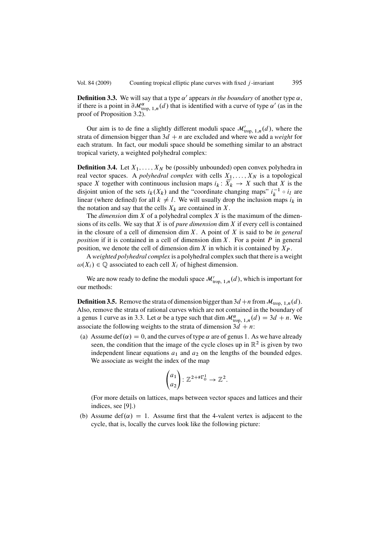<span id="page-8-0"></span>**Definition 3.3.** We will say that a type  $\alpha'$  appears *in the boundary* of another type  $\alpha$ , if there is a point in  $\partial \mathcal{M}_{\text{trop, 1},n}^{\alpha}(d)$  that is identified with a curve of type  $\alpha'$  (as in the proof of Proposition [3.2\)](#page-7-0).

Our aim is to de fine a slightly different moduli space  $\mathcal{M}_{\text{trop, 1},n}'(d)$ , where the strata of dimension bigger than  $3d + n$  are excluded and where we add a *weight* for each stratum. In fact, our moduli space should be something similar to an abstract tropical variety, a weighted polyhedral complex:

**Definition 3.4.** Let  $X_1, \ldots, X_N$  be (possibly unbounded) open convex polyhedra in real vector spaces. A *polyhedral complex* with cells  $X_1, \ldots, X_N$  is a topological space X together with continuous inclusion maps  $i_k : \overline{X_k} \to X$  such that X is the disjoint union of the sets  $i_k(X_k)$  and the "coordinate changing maps"  $i_k^{-1} \circ i_l$  are<br>linear (where defined) for all  $k \neq l$ . We will usually drop the inclusion maps it in linear (where defined) for all  $k \neq l$ . We will usually drop the inclusion maps  $i_k$  in the notation and say that the cells  $X_k$  are contained in X.

The *dimension* dim  $X$  of a polyhedral complex  $X$  is the maximum of the dimensions of its cells. We say that X is of *pure dimension* dim X if every cell is contained in the closure of a cell of dimension dim X. A point of X is said to be *in general position* if it is contained in a cell of dimension dim  $X$ . For a point  $P$  in general position, we denote the cell of dimension dim  $X$  in which it is contained by  $X_P$ .

A *weighted polyhedral complex* is a polyhedral complex such that there is a weight  $\omega(X_i) \in \mathbb{Q}$  associated to each cell  $X_i$  of highest dimension.

We are now ready to define the moduli space  $\mathcal{M}_{\text{trop, 1},n}'(d)$ , which is important for our methods:

**Definition 3.5.** Remove the strata of dimension bigger than  $3d + n$  from  $\mathcal{M}_{\text{trop}, 1,n}(d)$ . Also, remove the strata of rational curves which are not contained in the boundary of a genus 1 curve as in [3.3.](#page-7-0) Let  $\alpha$  be a type such that dim  $\mathcal{M}^{\alpha}_{\text{trop, 1},n}(d) = 3d + n$ . We associate the following weights to the strata of dimension  $3\ddot{d} + n$ :

(a) Assume def( $\alpha$ ) = 0, and the curves of type  $\alpha$  are of genus 1. As we have already seen, the condition that the image of the cycle closes up in  $\mathbb{R}^2$  is given by two independent linear equations  $a_1$  and  $a_2$  on the lengths of the bounded edges. We associate as weight the index of the map

$$
\begin{pmatrix} a_1 \\ a_2 \end{pmatrix} : \mathbb{Z}^{2+\# \Gamma_0^1} \to \mathbb{Z}^2.
$$

(For more details on lattices, maps between vector spaces and lattices and their indices, see [\[9\]](#page-40-0).)

(b) Assume def( $\alpha$ ) = 1. Assume first that the 4-valent vertex is adjacent to the cycle, that is, locally the curves look like the following picture: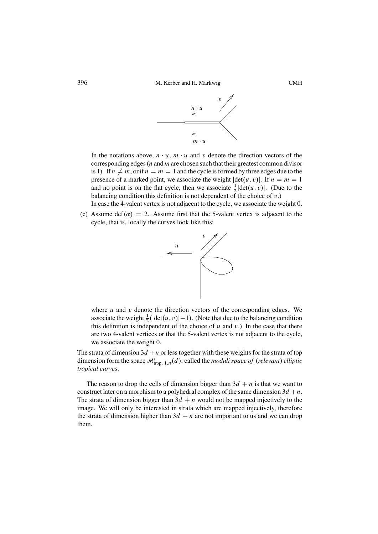

<span id="page-9-0"></span>In the notations above,  $n \cdot u$ ,  $m \cdot u$  and v denote the direction vectors of the corresponding edges (*n* and *m* are chosen such that their greatest common divisor is 1). If  $n \neq m$ , or if  $n = m = 1$  and the cycle is formed by three edges due to the presence of a marked point, we associate the weight  $|\det(u, v)|$ . If  $n = m = 1$ and no point is on the flat cycle, then we associate  $\frac{1}{2}$  det $(u, v)$ . (Due to the halancing condition this definition is not dependent of the choice of v.) balancing condition this definition is not dependent of the choice of  $v$ .)

In case the 4-valent vertex is not adjacent to the cycle, we associate the weight 0.

(c) Assume def( $\alpha$ ) = 2. Assume first that the 5-valent vertex is adjacent to the cycle, that is, locally the curves look like this:



where  $u$  and  $v$  denote the direction vectors of the corresponding edges. We associate the weight  $\frac{1}{2}(|\det(u, v)| - 1)$ . (Note that due to the balancing condition<br>this definition is independent of the choice of u and v.). In the case that there this definition is independent of the choice of  $u$  and  $v$ .) In the case that there are two 4-valent vertices or that the 5-valent vertex is not adjacent to the cycle, we associate the weight 0.

The strata of dimension  $3d + n$  or less together with these weights for the strata of top dimension form the space  $\mathcal{M}_{\text{trop}, 1,n}'(d)$ , called the *moduli space of* (*relevant*) *elliptic tropical curves*.

The reason to drop the cells of dimension bigger than  $3d + n$  is that we want to construct later on a morphism to a polyhedral complex of the same dimension  $3d + n$ . The strata of dimension bigger than  $3d + n$  would not be mapped injectively to the image. We will only be interested in strata which are mapped injectively, therefore the strata of dimension higher than  $3d + n$  are not important to us and we can drop them.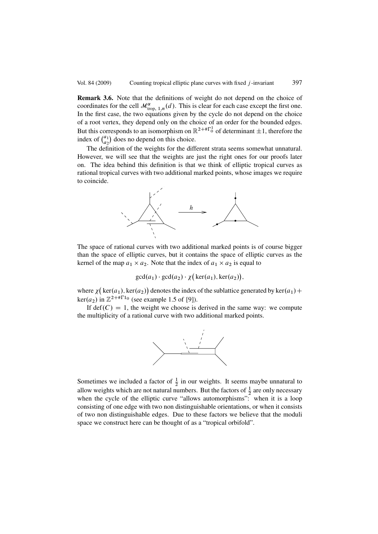<span id="page-10-0"></span>**Remark 3.6.** Note that the definitions of weight do not depend on the choice of coordinates for the cell  $\mathcal{M}^{\alpha}_{\text{trop, 1},n}(d)$ . This is clear for each case except the first one. In the first case, the two equations given by the cycle do not depend on the choice of a root vertex, they depend only on the choice of an order for the bounded edges. But this corresponds to an isomorphism on  $\mathbb{R}^{2+\# \Gamma_0^1}$  of determinant  $\pm 1$ , therefore the index of  $\binom{a_1}{a_2}$  $\binom{a_1}{a_2}$  does no depend on this choice.

The definition of the weights for the different strata seems somewhat unnatural. However, we will see that the weights are just the right ones for our proofs later on. The idea behind this definition is that we think of elliptic tropical curves as rational tropical curves with two additional marked points, whose images we require to coincide.



The space of rational curves with two additional marked points is of course bigger than the space of elliptic curves, but it contains the space of elliptic curves as the kernel of the map  $a_1 \times a_2$ . Note that the index of  $a_1 \times a_2$  is equal to

 $gcd(a_1) \cdot gcd(a_2) \cdot \chi \big( ker(a_1), ker(a_2) \big),$ 

where  $\chi$  (ker(a<sub>1</sub>), ker(a<sub>2</sub>)) denotes the index of the sublattice generated by ker(a<sub>1</sub>) + ker(a<sub>1</sub>) in  $\mathbb{Z}^{2+\# \Gamma_{10}}$  (see example 1.5 of 101) ker(*a*<sub>2</sub>) in  $\mathbb{Z}^{2+\# \Gamma_{10}}$  (see example 1.5 of [\[9\]](#page-40-0)).

If def $(C) = 1$ , the weight we choose is derived in the same way: we compute the multiplicity of a rational curve with two additional marked points.



Sometimes we included a factor of  $\frac{1}{2}$  in our weights. It seems maybe unnatural to allow weights which are not natural numbers. But the factors of  $\frac{1}{2}$  are only necessary when the cycle of the elliptic curve "allows automorphisms": when it is a loop consisting of one edge with two non distinguishable orientations, or when it consists of two non distinguishable edges. Due to these factors we believe that the moduli space we construct here can be thought of as a "tropical orbifold".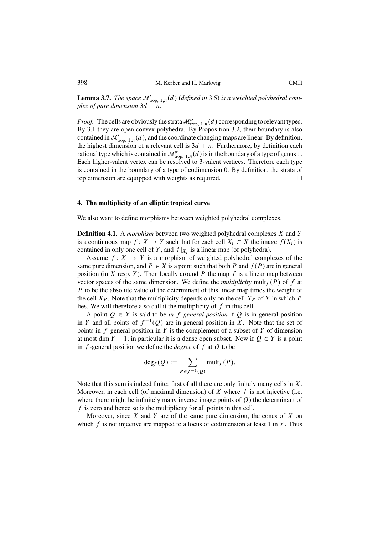<span id="page-11-0"></span>**Lemma 3.7.** *The space*  $\mathcal{M}_{\text{trop, 1},n}'(d)$  (defined in [3.5\)](#page-8-0) is a weighted polyhedral com*plex of pure dimension*  $3d + n$ *.* 

*Proof.* The cells are obviously the strata  $\mathcal{M}^{\alpha}_{\text{trop, 1},n}(d)$  corresponding to relevant types. By [3.1](#page-6-0) they are open convex polyhedra. By Proposition [3.2,](#page-7-0) their boundary is also contained in  $\mathcal{M}_{\text{trop}, 1,n}'(d)$ , and the coordinate changing maps are linear. By definition, the highest dimension of a relevant cell is  $3d + n$ . Furthermore, by definition each rational type which is contained in  $\mathcal{M}^{\alpha}_{\text{trop, 1},n}(d)$  is in the boundary of a type of genus 1. Each higher-valent vertex can be resolved to 3-valent vertices. Therefore each type is contained in the boundary of a type of codimension 0. By definition, the strata of top dimension are equipped with weights as required.  $\Box$ 

# **4. The multiplicity of an elliptic tropical curve**

We also want to define morphisms between weighted polyhedral complexes.

**Definition 4.1.** A *morphism* between two weighted polyhedral complexes X and Y is a continuous map  $f: X \to Y$  such that for each cell  $X_i \subset X$  the image  $f(X_i)$  is contained in only one cell of Y, and  $f|_{X_i}$  is a linear map (of polyhedra).

Assume  $f: X \rightarrow Y$  is a morphism of weighted polyhedral complexes of the same pure dimension, and  $P \in X$  is a point such that both P and  $f(P)$  are in general position (in X resp. Y). Then locally around P the map f is a linear map between vector spaces of the same dimension. We define the *multiplicity* mult<sub>f</sub>  $(P)$  of f at P to be the absolute value of the determinant of this linear map times the weight of the cell  $X_P$ . Note that the multiplicity depends only on the cell  $X_P$  of X in which P lies. We will therefore also call it the multiplicity of  $f$  in this cell.

A point  $Q \in Y$  is said to be *in f-general position* if Q is in general position in Y and all points of  $f^{-1}(Q)$  are in general position in X. Note that the set of points in  $f$ -general position in  $Y$  is the complement of a subset of  $Y$  of dimension at most dim  $Y - 1$ ; in particular it is a dense open subset. Now if  $Q \in Y$  is a point<br>in f-general position we define the *degree* of f at O to be in f -general position we define the *degree* of f at Q to be

$$
\deg_f(Q) := \sum_{P \in f^{-1}(Q)} \text{mult}_f(P).
$$

Note that this sum is indeed finite: first of all there are only finitely many cells in  $X$ . Moreover, in each cell (of maximal dimension) of X where  $f$  is not injective (i.e. where there might be infinitely many inverse image points of  $Q$ ) the determinant of f is zero and hence so is the multiplicity for all points in this cell.

Moreover, since X and Y are of the same pure dimension, the cones of X on which  $f$  is not injective are mapped to a locus of codimension at least 1 in  $Y$ . Thus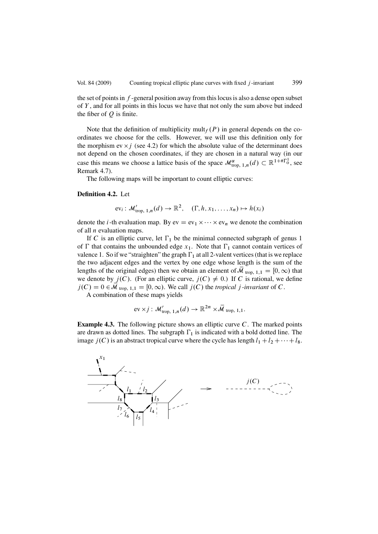<span id="page-12-0"></span>the set of points in  $f$ -general position away from this locus is also a dense open subset of  $Y$ , and for all points in this locus we have that not only the sum above but indeed the fiber of  $Q$  is finite.

Note that the definition of multiplicity mult $_f(P)$  in general depends on the coordinates we choose for the cells. However, we will use this definition only for the morphism ev  $\times j$  (see 4.2) for which the absolute value of the determinant does not depend on the chosen coordinates, if they are chosen in a natural way (in our case this means we choose a lattice basis of the space  $\mathcal{M}^{\alpha}_{\text{trop, 1},n}(d) \subset \mathbb{R}^{1+\# \Gamma_{0}^{1}}$ , see Remark 4.7) Remark [4.7\)](#page-13-0).

The following maps will be important to count elliptic curves:

#### **Definition 4.2.** Let

$$
\mathrm{ev}_i: \mathcal{M}'_{\mathrm{trop}, 1,n}(d) \to \mathbb{R}^2, \quad (\Gamma, h, x_1, \ldots, x_n) \mapsto h(x_i)
$$

denote the *i*-th evaluation map. By  $ev = ev_1 \times \cdots \times ev_n$  we denote the combination of all  $n$  evaluation maps.

If C is an elliptic curve, let  $\Gamma_1$  be the minimal connected subgraph of genus 1 of  $\Gamma$  that contains the unbounded edge  $x_1$ . Note that  $\Gamma_1$  cannot contain vertices of valence 1. So if we "straighten" the graph  $\Gamma_1$  at all 2-valent vertices (that is we replace the two adjacent edges and the vertex by one edge whose length is the sum of the lengths of the original edges) then we obtain an element of  $\mathcal{M}_{\text{trop, 1,1}} = [0, \infty)$  that we denote by  $j(C)$ . (For an elliptic curve,  $j(C) \neq 0$ .) If C is rational, we define  $j(C) = 0 \in \overline{\mathcal{M}}_{\text{trop}, 1,1} = [0, \infty)$ . We call  $j(C)$  the *tropical* j-invariant of C.

A combination of these maps yields

$$
\mathrm{ev} \times j: \mathcal{M}_{\mathrm{trop}, 1,n}'(d) \to \mathbb{R}^{2n} \times \overline{\mathcal{M}}_{\mathrm{trop}, 1,1}.
$$

**Example 4.3.** The following picture shows an elliptic curve C. The marked points are drawn as dotted lines. The subgraph  $\Gamma_1$  is indicated with a bold dotted line. The image  $j(C)$  is an abstract tropical curve where the cycle has length  $l_1 + l_2 + \cdots + l_8$ .

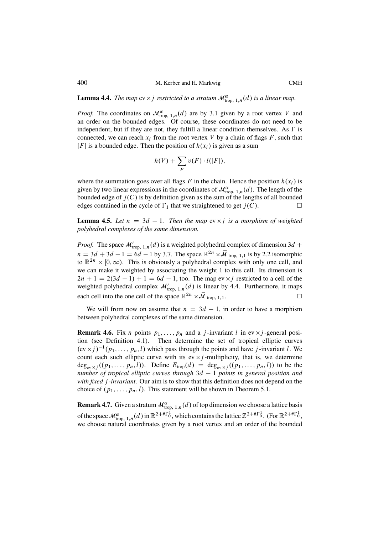<span id="page-13-0"></span>**Lemma 4.4.** *The map*  $ev \times j$  *restricted to a stratum*  $\mathcal{M}^{\alpha}_{\text{trop, 1},n}(d)$  *is a linear map.* 

*Proof.* The coordinates on  $\mathcal{M}^{\alpha}_{\text{trop, 1},n}(d)$  are by [3.1](#page-6-0) given by a root vertex V and an order on the bounded edges. Of course, these coordinates do not need to be independent, but if they are not, they fulfill a linear condition themselves. As  $\Gamma$  is connected, we can reach  $x_i$  from the root vertex V by a chain of flags F, such that  $[F]$  is a bounded edge. Then the position of  $h(x_i)$  is given as a sum

$$
h(V) + \sum_{F} v(F) \cdot l([F]),
$$

where the summation goes over all flags F in the chain. Hence the position  $h(x_i)$  is given by two linear expressions in the coordinates of  $\mathcal{M}^{\alpha}_{\text{trop}, 1,n}(d)$ . The length of the bounded edge of  $j(C)$  is by definition given as the sum of the lengths of all bounded edges contained in the cycle of  $\Gamma_1$  that we straightened to get  $j(C)$ .

**Lemma 4.5.** Let  $n = 3d - 1$ . Then the map  $ev \times j$  is a morphism of weighted not verified a complexes of the same dimension *polyhedral complexes of the same dimension.*

*Proof.* The space  $\mathcal{M}_{\text{top, 1}, n}(d)$  is a weighted polyhedral complex of dimension 3d +  $n = 3d + 3d - 1 = 6d - 1$  by [3.7.](#page-10-0) The space  $\mathbb{R}^{2n} \times \overline{\mathcal{M}}_{\text{trop, 1, 1}}$  is by [2.2](#page-3-0) isomorphic<br>to  $\mathbb{R}^{2n} \times [0, \infty)$ . This is obviously a polyhedral complex with only one cell, and to  $\mathbb{R}^{2n} \times [0,\infty)$ . This is obviously a polyhedral complex with only one cell, and we can make it weighted by associating the weight 1 to this cell. Its dimension is  $2n + 1 = 2(3d - 1) + 1 = 6d - 1$ , too. The map ev  $\times j$  restricted to a cell of the weighted polyhedral complex  $M'$  (d) is linear by 4.4. Furthermore, it maps weighted polyhedral complex  $\mathcal{M}_{\text{trop, 1},n}'(d)$  is linear by 4.4. Furthermore, it maps each cell into the one cell of the space  $\mathbb{R}^{2n} \times \overline{\mathcal{M}}_{\text{trop, 1,1}}$ .  $\Box$ 

We will from now on assume that  $n = 3d - 1$ , in order to have a morphism<br>ween polyhedral complexes of the same dimension between polyhedral complexes of the same dimension.

**Remark 4.6.** Fix *n* points  $p_1, \ldots, p_n$  and a *j*-invariant *l* in ev  $\times j$ -general position (see Definition [4.1\)](#page-11-0). Then determine the set of tropical elliptic curves  $(\text{ev } \times j)^{-1}(p_1,\ldots,p_n,l)$  which pass through the points and have j-invariant l. We count each such elliptic curve with its ev  $\times j$  -multiplicity, that is, we determine  $deg_{ev \times i}((p_1,\ldots,p_n,l))$ . Define  $E_{trop}(d) = deg_{ev \times i}((p_1,\ldots,p_n,l))$  to be the *number of tropical elliptic curves through*  $3d - 1$  *points in general position and*<br>with fixed *i*-invariant. Our aim is to show that this definition does not depend on the *with fixed* j *-invariant*. Our aim is to show that this definition does not depend on the choice of  $(p_1,\ldots,p_n,l)$ . This statement will be shown in Theorem [5.1.](#page-20-0)

**Remark 4.7.** Given a stratum  $\mathcal{M}^{\alpha}_{\text{trop, 1},n}(d)$  of top dimension we choose a lattice basis of the space  $\mathcal{M}_{\text{trop}, 1,n}^{\alpha}(d)$  in  $\mathbb{R}^{2+\# \Gamma^1_0}$ , which contains the lattice  $\mathbb{Z}^{2+\# \Gamma^1_0}$ . (For  $\mathbb{R}^{2+\# \Gamma^1_0}$ , we choose natural coordinates given by a root vertex and an order of the bounded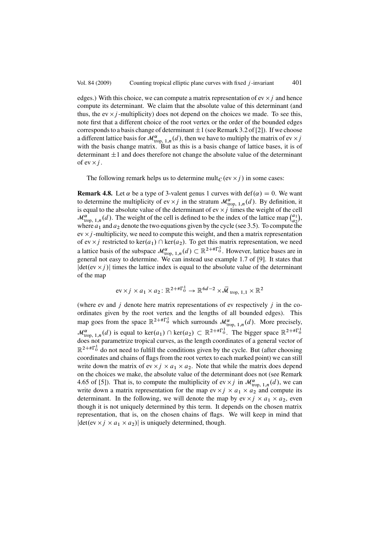<span id="page-14-0"></span>edges.) With this choice, we can compute a matrix representation of ev  $\times j$  and hence compute its determinant. We claim that the absolute value of this determinant (and thus, the ev  $\times j$  -multiplicity) does not depend on the choices we made. To see this, note first that a different choice of the root vertex or the order of the bounded edges corresponds to a basis change of determinant  $\pm 1$  (see Remark 3.2 of [\[2\]](#page-40-0)). If we choose a different lattice basis for  $\mathcal{M}^{\alpha}_{\text{top, 1},n}(d)$ , then we have to multiply the matrix of ev  $\times j$ <br>with the basis change matrix. But as this is a basis change of lattice bases, it is of with the basis change matrix. But as this is a basis change of lattice bases, it is of determinant  $\pm 1$  and does therefore not change the absolute value of the determinant of ev  $\times j$ .

The following remark helps us to determine mult<sub>C</sub> (ev  $\times j$ ) in some cases:

**Remark 4.8.** Let  $\alpha$  be a type of 3-valent genus 1 curves with def $(\alpha) = 0$ . We want to determine the multiplicity of ev  $\times j$  in the stratum  $\mathcal{M}^{\alpha}_{\text{top, 1},n}(d)$ . By definition, it is equal to the absolute value of the determinant of ev  $\times i$  times the weight of the cell is equal to the absolute value of the determinant of ev  $\times j$  times the weight of the cell  $\mathcal{M}_{\text{trop, 1},n}^{\alpha}$  (d). The weight of the cell is defined to be the index of the lattice map  $\binom{a_1}{a_2}$  $\binom{a_1}{a_2},$ where  $a_1$  and  $a_2$  denote the two equations given by the cycle (see [3.5\)](#page-8-0). To compute the ev  $\times j$  -multiplicity, we need to compute this weight, and then a matrix representation of ev  $\times j$  restricted to ker( $a_1$ )  $\cap$  ker( $a_2$ ). To get this matrix representation, we need of ev  $\times j$  restricted to ker $(a_1) \cap \text{ker}(a_2)$ . To get this matrix representation, we need<br>a lattice basis of the subspace  $\mathcal{M}^{\alpha}_{\text{trop, 1},n}(d) \subset \mathbb{R}^{2+\# \Gamma_0^1}$ . However, lattice bases are in<br>general not easy to de general not easy to determine. We can instead use example 1.7 of [\[9\]](#page-40-0). It states that  $|\det(\mathrm{ev} \times i)|$  times the lattice index is equal to the absolute value of the determinant of the map

$$
ev \times j \times a_1 \times a_2 \colon \mathbb{R}^{2+\# \Gamma_0^1} \to \mathbb{R}^{6d-2} \times \overline{\mathcal{M}}_{\text{trop}, 1,1} \times \mathbb{R}^2
$$

(where ev and  $j$  denote here matrix representations of ev respectively  $j$  in the coordinates given by the root vertex and the lengths of all bounded edges). This map goes from the space  $\mathbb{R}^{2+\# \Gamma_0^1}$  which surrounds  $\mathcal{M}_{\text{trop, 1},n}^{\alpha}(d)$ . More precisely,  $\mathcal{M}^{\alpha}_{\text{trop, 1},n}(d)$  is equal to ker $(a_1) \cap \text{ker}(a_2) \subset \mathbb{R}^{2+\# \Gamma_0^1}$ . The bigger space  $\mathbb{R}^{2+\# \Gamma_0^1}$ does not parametrize tropical curves, as the length coordinates of a general vector of  $\mathbb{R}^{2+\# \Gamma_0^1}$  do not need to fulfill the conditions given by the cycle. But (after choosing coordinates and chains of flags from the root vertex to each marked point) we can still write down the matrix of ev  $\times j \times a_1 \times a_2$ . Note that while the matrix does depend on the choices we make, the absolute value of the determinant does not (see Remark 4.65 of [\[5\]](#page-40-0)). That is, to compute the multiplicity of ev  $\times j$  in  $\mathcal{M}^{\alpha}_{\text{trop, 1},n}(d)$ , we can write down a matrix representation for the man ev  $\times i \times a$ ,  $\times a$  and compute its write down a matrix representation for the map ev  $\times j \times a_1 \times a_2$  and compute its determinant. In the following, we will denote the map by ev  $\times j \times a_1 \times a_2$ , even though it is not uniquely determined by this term. It depends on the chosen matrix representation, that is, on the chosen chains of flags. We will keep in mind that  $|\det(\mathrm{ev} \times j \times a_1 \times a_2)|$  is uniquely determined, though.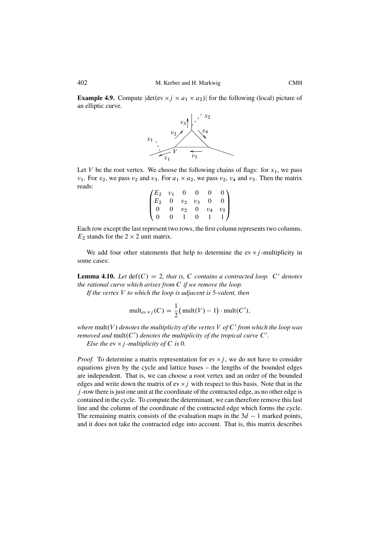**Example 4.9.** Compute  $|\det(\mathrm{ev} \times j \times a_1 \times a_2)|$  for the following (local) picture of an elliptic curve.



Let V be the root vertex. We choose the following chains of flags: for  $x_1$ , we pass  $v_1$ . For  $x_2$ , we pass  $v_2$  and  $v_3$ . For  $a_1 \times a_2$ , we pass  $v_2$ ,  $v_4$  and  $v_5$ . Then the matrix reads:

|                                                                |                |       | $\Omega$        | $\overline{0}$ |                                                          |
|----------------------------------------------------------------|----------------|-------|-----------------|----------------|----------------------------------------------------------|
| $\begin{pmatrix} E_2 & v_1 & 0 \\ E_2 & 0 & v_2 \end{pmatrix}$ |                |       | $v_2$ $v_3$     | $\mathbf{0}$   | $\begin{pmatrix} 0 \\ 0 \end{pmatrix}$<br>$\overline{0}$ |
| $\overline{0}$                                                 | $\overline{0}$ | $v_2$ | $\overline{0}$  | $v_4$          | $\frac{v_5}{1}$                                          |
| $\sqrt{0}$                                                     | $\Omega$       |       | $\vert 0 \vert$ |                |                                                          |

Each row except the last represent two rows, the first column represents two columns.  $E_2$  stands for the  $2 \times 2$  unit matrix.

We add four other statements that help to determine the ev  $\times j$ -multiplicity in some cases:

**Lemma 4.10.** *Let*  $\text{def}(C) = 2$ *, that is, C contains a contracted loop. C' denotes the rational curve which arises from* C *if we remove the loop.*

*If the vertex* V *to which the loop is adjacent is* 5*-valent, then*

$$
\text{mult}_{\text{ev}\times j}(C) = \frac{1}{2}(\text{mult}(V) - 1) \cdot \text{mult}(C'),
$$

*where*  $mult(V)$  *denotes the multiplicity of the vertex*  $V$  *of*  $C'$  *from which the loop was removed and*  $mult(C')$  *denotes the multiplicity of the tropical curve*  $C'$ *.* 

*Else the*  $ev \times j$  *-multiplicity of*  $C$  *is* 0*.* 

*Proof.* To determine a matrix representation for  $ev \times j$ , we do not have to consider equations given by the cycle and lattice bases – the lengths of the bounded edges are independent. That is, we can choose a root vertex and an order of the bounded edges and write down the matrix of ev  $\times j$  with respect to this basis. Note that in the j -row there is just one unit at the coordinate of the contracted edge, as no other edge is contained in the cycle. To compute the determinant, we can therefore remove this last line and the column of the coordinate of the contracted edge which forms the cycle. The remaining matrix consists of the evaluation maps in the  $3d - 1$  marked points, and it does not take the contracted edge into account. That is, this matrix describes and it does not take the contracted edge into account. That is, this matrix describes

<span id="page-15-0"></span>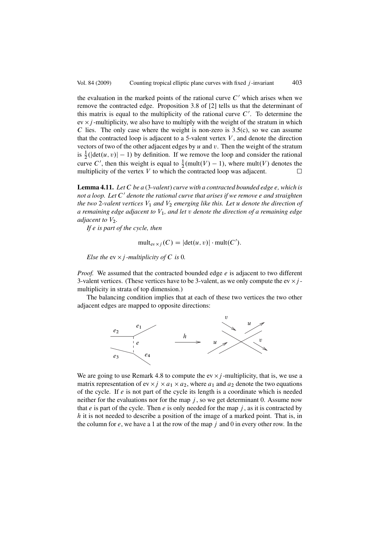<span id="page-16-0"></span>the evaluation in the marked points of the rational curve  $C'$  which arises when we remove the contracted edge. Proposition 3.8 of [\[2\]](#page-40-0) tells us that the determinant of this matrix is equal to the multiplicity of the rational curve  $C'$ . To determine the  $ev \times j$ -multiplicity, we also have to multiply with the weight of the stratum in which C lies. The only case where the weight is non-zero is  $3.5(c)$ , so we can assume that the contracted loop is adjacent to a 5-valent vertex  $V$ , and denote the direction vectors of two of the other adjacent edges by  $u$  and  $v$ . Then the weight of the stratum is  $\frac{1}{2}(|\det(u, v)| - 1)$  by definition. If we remove the loop and consider the rational<br>given  $C'$  than this woight is equal to  $\frac{1}{2}$  (mult( $U$ ) = 1), where mult( $U$ ) denotes the curve C', then this weight is equal to  $\frac{1}{2}$ (mult(V)  $-1$ ), where mult(V) denotes the multiplicity of the vertex V to which the contracted loop was adjacent multiplicity of the vertex  $V$  to which the contracted loop was adjacent. □

**Lemma 4.11.** *Let* C *be a* (3*-valent*) *curve with a contracted bounded edge* e*, which is not a loop. Let* C' *denote the rational curve that arises if we remove e and straighten the two* 2-valent vertices  $V_1$  and  $V_2$  emerging like this. Let u denote the direction of *a remaining edge adjacent to* V1*, and let* v *denote the direction of a remaining edge adjacent to*  $V_2$ *.* 

*If* e *is part of the cycle, then*

$$
\mathrm{mult}_{\mathrm{ev}\times j}(C)=|\mathrm{det}(u,v)|\cdot \mathrm{mult}(C').
$$

*Else the* ev  $\times$  *j -multiplicity of* C *is* 0*.* 

*Proof.* We assumed that the contracted bounded edge e is adjacent to two different 3-valent vertices. (These vertices have to be 3-valent, as we only compute the ev  $\times j$  multiplicity in strata of top dimension.)

The balancing condition implies that at each of these two vertices the two other adjacent edges are mapped to opposite directions:



We are going to use Remark [4.8](#page-14-0) to compute the ev  $\times j$ -multiplicity, that is, we use a matrix representation of ev  $\times j \times a_1 \times a_2$ , where  $a_1$  and  $a_2$  denote the two equations of the cycle. If  $e$  is not part of the cycle its length is a coordinate which is needed neither for the evaluations nor for the map  $j$ , so we get determinant 0. Assume now that e is part of the cycle. Then e is only needed for the map  $j$ , as it is contracted by h it is not needed to describe a position of the image of a marked point. That is, in the column for  $e$ , we have a 1 at the row of the map  $j$  and 0 in every other row. In the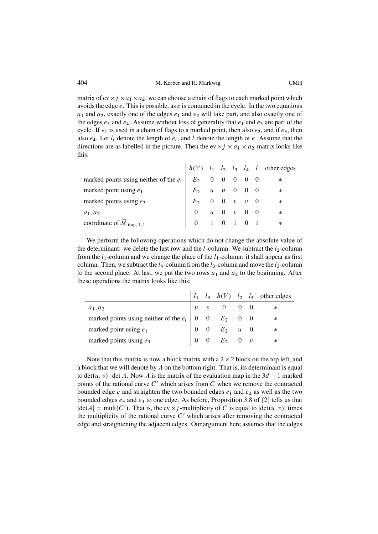matrix of ev  $\times j \times a_1 \times a_2$ , we can choose a chain of flags to each marked point which avoids the edge  $e$ . This is possible, as  $e$  is contained in the cycle. In the two equations  $a_1$  and  $a_2$ , exactly one of the edges  $e_1$  and  $e_2$  will take part, and also exactly one of the edges  $e_3$  and  $e_4$ . Assume without loss of generality that  $e_1$  and  $e_3$  are part of the cycle. If  $e_1$  is used in a chain of flags to a marked point, then also  $e_2$ , and if  $e_3$ , then also  $e_4$ . Let  $l_i$  denote the length of  $e_i$ , and l denote the length of e. Assume that the directions are as labelled in the picture. Then the ev  $\times j \times a_1 \times a_2$ -matrix looks like this:

|                                                                                                                                                                                                                                                                                    |  |  |  | $h(V)$ $l_1$ $l_2$ $l_3$ $l_4$ $l$ other edges |
|------------------------------------------------------------------------------------------------------------------------------------------------------------------------------------------------------------------------------------------------------------------------------------|--|--|--|------------------------------------------------|
| marked points using neither of the $e_i$<br>marked point using $e_1$<br>marked points using $e_3$<br>$a_1, a_2$<br>$a_2$<br>$f(x) = \begin{cases} E_1 & 0 & 0 & 0 & 0 \\ E_2 & u & u & 0 & 0 \\ E_3 & 0 & v & v & 0 \\ 0 & u & 0 & v & 0 & 0 \\ 0 & 1 & 0 & 1 & 0 & 1 \end{cases}$ |  |  |  |                                                |
|                                                                                                                                                                                                                                                                                    |  |  |  |                                                |
|                                                                                                                                                                                                                                                                                    |  |  |  |                                                |
|                                                                                                                                                                                                                                                                                    |  |  |  | $\ast$                                         |
| coordinate of $\mathcal{M}_{\text{trop}, 1,1}$                                                                                                                                                                                                                                     |  |  |  |                                                |
|                                                                                                                                                                                                                                                                                    |  |  |  |                                                |

We perform the following operations which do not change the absolute value of the determinant: we delete the last row and the  $l$ -column. We subtract the  $l_2$ -column from the  $l_1$ -column and we change the place of the  $l_1$ -column: it shall appear as first column. Then, we subtract the  $l_4$ -column from the  $l_3$ -column and move the  $l_3$ -column to the second place. At last, we put the two rows  $a_1$  and  $a_2$  to the beginning. After these operations the matrix looks like this:

| $\boldsymbol{u}$ | $\eta$ |                                                             | ∗                                                                                                                                                                               |
|------------------|--------|-------------------------------------------------------------|---------------------------------------------------------------------------------------------------------------------------------------------------------------------------------|
|                  |        |                                                             | $^\ast$                                                                                                                                                                         |
|                  |        |                                                             | $\ast$                                                                                                                                                                          |
|                  |        |                                                             | ∗                                                                                                                                                                               |
|                  |        | marked points using neither of the $e_i \mid 0 \mid 0 \mid$ | $l_1$ $l_3$ $h(V)$ $l_2$ $l_4$ other edges<br>$\begin{matrix} 0 & 0 \end{matrix}$<br>$E_2$ 0 0<br>$\begin{array}{cc cc} 0 & 0 & E_2 & u & 0 \\ 0 & 0 & E_2 & 0 & v \end{array}$ |

Note that this matrix is now a block matrix with a  $2 \times 2$  block on the top left, and a block that we will denote by  $\tilde{A}$  on the bottom right. That is, its determinant is equal to det( $u, v$ )  $\cdot$  det A. Now A is the matrix of the evaluation map in the  $3d - 1$  marked<br>points of the rational curve C' which arises from C when we remove the contracted points of the rational curve  $C'$  which arises from  $C$  when we remove the contracted bounded edge  $e$  and straighten the two bounded edges  $e_1$  and  $e_2$  as well as the two bounded edges  $e_3$  and  $e_4$  to one edge. As before, Proposition 3.8 of [\[2\]](#page-40-0) tells us that  $|\det A| = \text{mult}(C')$ . That is, the ev  $\times j$ -multiplicity of C is equal to  $|\det(u, v)|$  times<br>the multiplicity of the rational curve C' which arises after removing the contracted the multiplicity of the rational curve  $C'$  which arises after removing the contracted edge and straightening the adjacent edges. Our argument here assumes that the edges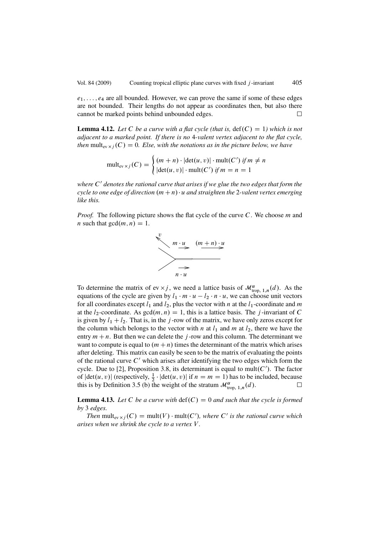<span id="page-18-0"></span> $e_1, \ldots, e_4$  are all bounded. However, we can prove the same if some of these edges are not bounded. Their lengths do not appear as coordinates then, but also there cannot be marked points behind unbounded edges.  $\Box$ 

**Lemma 4.12.** Let C be a curve with a flat cycle (that is,  $\text{def}(C) = 1$ ) which is not *adjacent to a marked point. If there is no* 4*-valent vertex adjacent to the flat cycle, then* mult<sub>ev x *i*</sub> (C) = 0*. Else, with the notations as in the picture below, we have* 

$$
\text{mult}_{\text{ev}\times j}(C) = \begin{cases} (m+n)\cdot |\text{det}(u,v)| \cdot \text{mult}(C') \text{ if } m \neq n \\ |\text{det}(u,v)| \cdot \text{mult}(C') \text{ if } m = n = 1 \end{cases}
$$

*where*  $C'$  *denotes the rational curve that arises if we glue the two edges that form the cycle to one edge of direction*  $(m + n) \cdot u$  *and straighten the* 2*-valent vertex emerging like this.*

*Proof.* The following picture shows the flat cycle of the curve C. We choose m and *n* such that  $gcd(m, n) = 1$ .



To determine the matrix of ev  $\times j$ , we need a lattice basis of  $\mathcal{M}^{\alpha}_{\text{trop, 1},n}(d)$ . As the equations of the cycle are given by  $l_1, m_2, u_1, u_2, l_3, n_4, u_5, w_6$  can choose unit vectors equations of the cycle are given by  $l_1 \cdot m \cdot u - l_2 \cdot n \cdot u$ , we can choose unit vectors for all coordinates except  $l_1$  and  $l_2$  plus the vector with *n* at the *l*<sub>1</sub>-coordinate and *m* for all coordinates except  $l_1$  and  $l_2$ , plus the vector with n at the  $l_1$ -coordinate and m at the  $l_2$ -coordinate. As  $gcd(m, n) = 1$ , this is a lattice basis. The j-invariant of C is given by  $l_1 + l_2$ . That is, in the j-row of the matrix, we have only zeros except for the column which belongs to the vector with n at  $l_1$  and m at  $l_2$ , there we have the entry  $m + n$ . But then we can delete the j-row and this column. The determinant we want to compute is equal to  $(m + n)$  times the determinant of the matrix which arises after deleting. This matrix can easily be seen to be the matrix of evaluating the points of the rational curve  $C'$  which arises after identifying the two edges which form the cycle. Due to [\[2\]](#page-40-0), Proposition 3.8, its determinant is equal to mult( $C'$ ). The factor of  $|\det(u, v)|$  (respectively,  $\frac{1}{2} \cdot |\det(u, v)|$  if  $n = m = 1$ ) has to be included, because this is by Definition [3.5 \(b\)](#page-8-0) the weight of the stratum  $\mathcal{M}^{\alpha}_{\text{trop, 1},n}(d)$ .

**Lemma 4.13.** Let C be a curve with  $\text{def}(C) = 0$  and such that the cycle is formed *by* 3 *edges.*

*Then*  $\text{mult}_{\text{ev}}(C) = \text{mult}(V) \cdot \text{mult}(C')$ , where C' is the rational curve which is the *is when* we shripk the cycle to a vertex V *arises when we shrink the cycle to a vertex* V *.*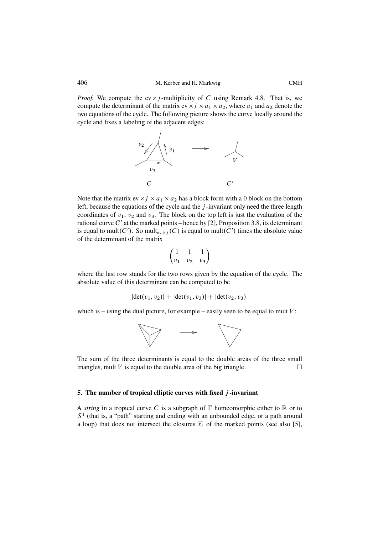*Proof.* We compute the ev  $\times j$ -multiplicity of C using Remark [4.8.](#page-14-0) That is, we compute the determinant of the matrix ev  $\times j \times a_1 \times a_2$ , where  $a_1$  and  $a_2$  denote the two equations of the cycle. The following picture shows the curve locally around the cycle and fixes a labeling of the adjacent edges:



Note that the matrix ev  $\times j \times a_1 \times a_2$  has a block form with a 0 block on the bottom left, because the equations of the cycle and the  $j$ -invariant only need the three length coordinates of  $v_1$ ,  $v_2$  and  $v_3$ . The block on the top left is just the evaluation of the rational curve  $C'$  at the marked points – hence by [\[2\]](#page-40-0), Proposition 3.8, its determinant is equal to mult $(C')$ . So mult<sub>ev  $\times j(C)$ </sub> is equal to mult $(C')$  times the absolute value of the determinant of the matrix

$$
\begin{pmatrix} 1 & 1 & 1 \\ v_1 & v_2 & v_3 \end{pmatrix}
$$

where the last row stands for the two rows given by the equation of the cycle. The absolute value of this determinant can be computed to be

$$
|\det(v_1, v_2)| + |\det(v_1, v_3)| + |\det(v_2, v_3)|
$$

which is – using the dual picture, for example – easily seen to be equal to mult  $V$ :



The sum of the three determinants is equal to the double areas of the three small triangles, mult  $V$  is equal to the double area of the big triangle.  $\Box$ 

### **5. The number of tropical elliptic curves with fixed** j **-invariant**

A *string* in a tropical curve C is a subgraph of  $\Gamma$  homeomorphic either to  $\mathbb R$  or to  $S<sup>1</sup>$  (that is, a "path" starting and ending with an unbounded edge, or a path around a loop) that does not intersect the closures  $\overline{x_i}$  of the marked points (see also [\[5\]](#page-40-0),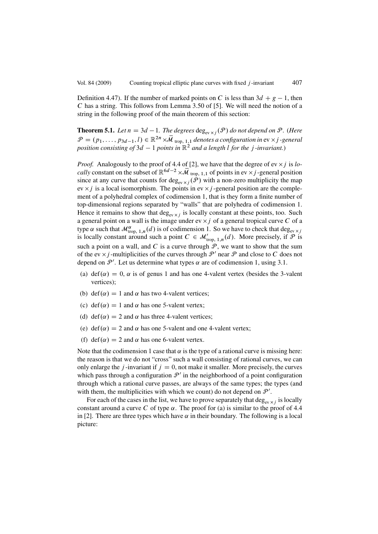<span id="page-20-0"></span>Definition 4.47). If the number of marked points on C is less than  $3d + g - 1$ , then C has a string. This follows from Lemma 3.50 of [5]. We will need the notion of a C has a string. This follows from Lemma 3.50 of [\[5\]](#page-40-0). We will need the notion of a string in the following proof of the main theorem of this section:

**Theorem 5.1.** *Let*  $n = 3d - 1$ *. The degrees* deg<sub>ev  $\times j$  ( $\mathcal{P}$ ) do not depend on  $\mathcal{P}$ *. (Here*  $\mathcal{P}$ </sub>  $\mathcal{P} = (p_1,\ldots,p_{3d-1},l) \in \mathbb{R}^{2n} \times \overline{\mathcal{M}}_{\text{trop}, 1,1}$  denotes a configuration in ev  $\times j$  *-general position consisting of* 3d - 1 *points in* R<sup>2</sup> *and a length* l *for the* j *-invariant.*)

*Proof.* Analogously to the proof of 4.4 of [\[2\]](#page-40-0), we have that the degree of  $ev \times j$  is *locally* constant on the subset of  $\mathbb{R}^{6d-2} \times \overline{\mathcal{M}}_{\text{trop, 1,1}}$  of points in ev  $\times j$ -general position since at any curve that counts for  $\deg_{ev \times i} (\mathcal{P})$  with a non-zero multiplicity the map ev  $\times j$  is a local isomorphism. The points in ev  $\times j$  -general position are the complement of a polyhedral complex of codimension 1, that is they form a finite number of top-dimensional regions separated by "walls" that are polyhedra of codimension 1. Hence it remains to show that  $\deg_{\text{ev}\times i}$  is locally constant at these points, too. Such a general point on a wall is the image under ev  $\times j$  of a general tropical curve C of a type  $\alpha$  such that  $\mathcal{M}^{\alpha}_{\text{trop, 1},n}(d)$  is of codimension 1. So we have to check that deg<sub>ev  $\times j$ </sub> is locally constant around such a point  $C \in \mathcal{M}'_{\text{trop}, 1,n}(d)$ . More precisely, if  $\mathcal P$  is such a point on a wall, and C is a curve through  $P$ , we want to show that the sum of the ev  $\times j$  -multiplicities of the curves through  $\mathcal{P}'$  near  $\mathcal P$  and close to C does not depend on  $\mathcal{P}'$ . Let us determine what types  $\alpha$  are of codimension 1, using [3.1.](#page-6-0)

- (a) def( $\alpha$ ) = 0,  $\alpha$  is of genus 1 and has one 4-valent vertex (besides the 3-valent vertices);
- (b) def( $\alpha$ ) = 1 and  $\alpha$  has two 4-valent vertices;
- (c) def( $\alpha$ ) = 1 and  $\alpha$  has one 5-valent vertex;
- (d) def( $\alpha$ ) = 2 and  $\alpha$  has three 4-valent vertices;
- (e) def( $\alpha$ ) = 2 and  $\alpha$  has one 5-valent and one 4-valent vertex;
- (f) def( $\alpha$ ) = 2 and  $\alpha$  has one 6-valent vertex.

Note that the codimension 1 case that  $\alpha$  is the type of a rational curve is missing here: the reason is that we do not "cross" such a wall consisting of rational curves, we can only enlarge the *j*-invariant if  $j = 0$ , not make it smaller. More precisely, the curves which pass through a configuration  $\mathcal{P}'$  in the neighborhood of a point configuration through which a rational curve passes, are always of the same types; the types (and with them, the multiplicities with which we count) do not depend on  $\mathcal{P}'$ .

For each of the cases in the list, we have to prove separately that  $\deg_{ev \times i}$  is locally constant around a curve C of type  $\alpha$ . The proof for (a) is similar to the proof of 4.4 in [\[2\]](#page-40-0). There are three types which have  $\alpha$  in their boundary. The following is a local picture: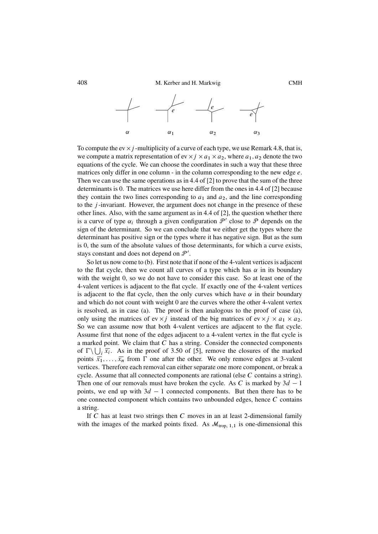

To compute the ev  $\times$  *j* -multiplicity of a curve of each type, we use Remark [4.8,](#page-14-0) that is, we compute a matrix representation of ev  $\times j \times a_1 \times a_2$ , where  $a_1, a_2$  denote the two equations of the cycle. We can choose the coordinates in such a way that these three matrices only differ in one column - in the column corresponding to the new edge  $e$ . Then we can use the same operations as in 4.4 of [\[2\]](#page-40-0) to prove that the sum of the three determinants is 0. The matrices we use here differ from the ones in 4.4 of [\[2\]](#page-40-0) because they contain the two lines corresponding to  $a_1$  and  $a_2$ , and the line corresponding to the  $j$ -invariant. However, the argument does not change in the presence of these other lines. Also, with the same argument as in 4.4 of [\[2\]](#page-40-0), the question whether there is a curve of type  $\alpha_i$  through a given configuration  $\mathcal{P}'$  close to  $\mathcal P$  depends on the sign of the determinant. So we can conclude that we either get the types where the determinant has positive sign or the types where it has negative sign. But as the sum is 0, the sum of the absolute values of those determinants, for which a curve exists, stays constant and does not depend on  $\mathcal{P}'$ .

So let us now come to [\(b\).](#page-20-0) First note that if none of the 4-valent vertices is adjacent to the flat cycle, then we count all curves of a type which has  $\alpha$  in its boundary with the weight 0, so we do not have to consider this case. So at least one of the 4-valent vertices is adjacent to the flat cycle. If exactly one of the 4-valent vertices is adjacent to the flat cycle, then the only curves which have  $\alpha$  in their boundary and which do not count with weight 0 are the curves where the other 4-valent vertex is resolved, as in case [\(a\).](#page-20-0) The proof is then analogous to the proof of case [\(a\),](#page-20-0) only using the matrices of ev  $\times j$  instead of the big matrices of ev  $\times j \times a_1 \times a_2$ . So we can assume now that both 4-valent vertices are adjacent to the flat cycle. Assume first that none of the edges adjacent to a 4-valent vertex in the flat cycle is a marked point. We claim that  $C$  has a string. Consider the connected components of  $\Gamma \setminus \bigcup_i \overline{x_i}$ . As in the proof of 3.50 of [\[5\]](#page-40-0), remove the closures of the marked<br>points  $\overline{z_i}$  from  $\Gamma$  one after the other. We only remove edges at 3-valent points  $\overline{x_1}, \ldots, \overline{x_n}$  from  $\Gamma$  one after the other. We only remove edges at 3-valent<br>vertices. Therefore each removal can either separate one more component or break a vertices. Therefore each removal can either separate one more component, or break a cycle. Assume that all connected components are rational (else  $C$  contains a string). Then one of our removals must have broken the cycle. As C is marked by  $3d - 1$ <br>points, we end up with  $3d - 1$  connected components. But then there has to be points, we end up with  $3d - 1$  connected components. But then there has to be<br>one connected component which contains two unbounded edges hence C contains one connected component which contains two unbounded edges, hence C contains a string.

If C has at least two strings then C moves in an at least 2-dimensional family with the images of the marked points fixed. As  $\mathcal{M}_{\text{trop}, 1,1}$  is one-dimensional this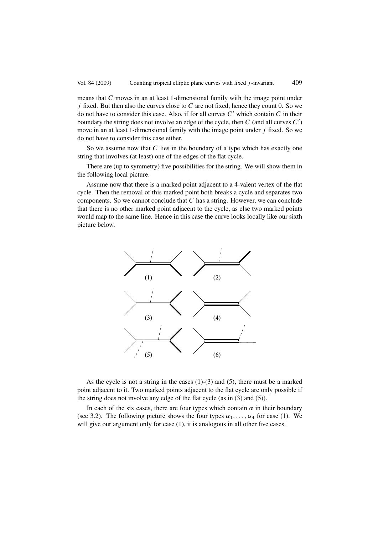means that C moves in an at least 1-dimensional family with the image point under  $j$  fixed. But then also the curves close to C are not fixed, hence they count 0. So we do not have to consider this case. Also, if for all curves  $C'$  which contain  $C$  in their boundary the string does not involve an edge of the cycle, then  $C$  (and all curves  $C'$ ) move in an at least 1-dimensional family with the image point under j fixed. So we do not have to consider this case either.

So we assume now that  $C$  lies in the boundary of a type which has exactly one string that involves (at least) one of the edges of the flat cycle.

There are (up to symmetry) five possibilities for the string. We will show them in the following local picture.

Assume now that there is a marked point adjacent to a 4-valent vertex of the flat cycle. Then the removal of this marked point both breaks a cycle and separates two components. So we cannot conclude that  $C$  has a string. However, we can conclude that there is no other marked point adjacent to the cycle, as else two marked points would map to the same line. Hence in this case the curve looks locally like our sixth picture below.



As the cycle is not a string in the cases (1)-(3) and (5), there must be a marked point adjacent to it. Two marked points adjacent to the flat cycle are only possible if the string does not involve any edge of the flat cycle (as in (3) and (5)).

In each of the six cases, there are four types which contain  $\alpha$  in their boundary (see [3.2\)](#page-7-0). The following picture shows the four types  $\alpha_1, \ldots, \alpha_4$  for case (1). We will give our argument only for case (1), it is analogous in all other five cases.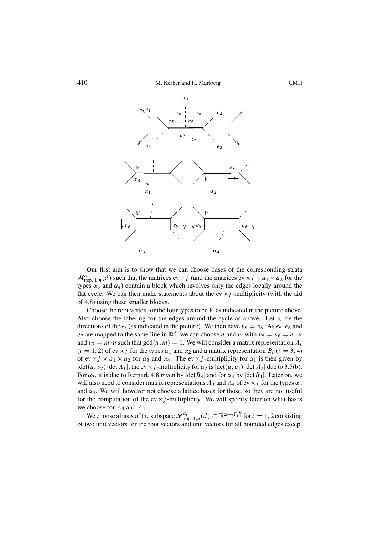

Our first aim is to show that we can choose bases of the corresponding strata  $\mathcal{M}_{\text{trop}, 1,n}^{\alpha}(d)$  such that the matrices ev  $\times j$  (and the matrices ev  $\times j \times a_1 \times a_2$  for the types  $\alpha_2$  and  $\alpha_3$ ) contain a block which involves only the edges locally around the types  $\alpha_3$  and  $\alpha_4$ ) contain a block which involves only the edges locally around the flat cycle. We can then make statements about the ev  $\times j$ -multiplicity (with the aid of [4.8\)](#page-14-0) using these smaller blocks.

Choose the root vertex for the four types to be  $V$  as indicated in the picture above. Also choose the labeling for the edges around the cycle as above. Let  $v_i$  be the directions of the  $e_i$  (as indicated in the picture). We then have  $v_5 = v_6$ . As  $e_5$ ,  $e_6$  and  $e_7$  are mapped to the same line in  $\mathbb{R}^2$ , we can choose *n* and *m* with  $v_5 = v_6 = n \cdot u$ and  $v_7 = m \cdot u$  such that  $gcd(n, m) = 1$ . We will consider a matrix representation  $A_i$  $(i = 1, 2)$  of ev  $\times j$  for the types  $\alpha_1$  and  $\alpha_2$  and a matrix representation  $B_i$   $(i = 3, 4)$ of ev  $\times j \times a_1 \times a_2$  for  $\alpha_3$  and  $\alpha_4$ . The ev  $\times j$  -multiplicity for  $\alpha_1$  is then given by  $|\det(u, v_2) \cdot \det A_1|$ , the ev  $\times j$  -multiplicity for  $\alpha_2$  is  $|\det(u, v_1) \cdot \det A_2|$  due to [3.5\(b\).](#page-8-0) For  $\alpha_3$ , it is due to Remark [4.8](#page-14-0) given by  $|\text{det }B_3|$  and for  $\alpha_4$  by  $|\text{det }B_4|$ . Later on, we will also need to consider matrix representations  $A_3$  and  $A_4$  of ev  $\times j$  for the types  $\alpha_3$ and  $\alpha_4$ . We will however not choose a lattice bases for those, so they are not useful for the computation of the ev  $\times j$ -multiplicity. We will specify later on what bases we choose for  $A_3$  and  $A_4$ .

We choose a basis of the subspace  $\mathcal{M}^{\alpha_i}_{\text{trop, 1},n}(d) \subset \mathbb{R}^{2+\# \Gamma_i^0}$  for  $i = 1, 2$  consisting wo unit vectors for the root vectors and unit vectors for all bounded edges except of two unit vectors for the root vectors and unit vectors for all bounded edges except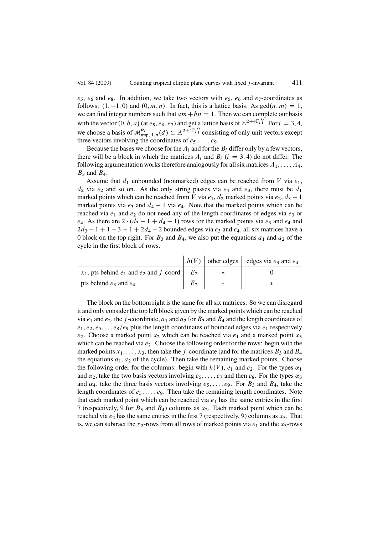$e_5$ ,  $e_6$  and  $e_8$ . In addition, we take two vectors with  $e_5$ ,  $e_6$  and  $e_7$ -coordinates as follows:  $(1, -1, 0)$  and  $(0, m, n)$ . In fact, this is a lattice basis: As  $gcd(n, m) = 1$ , we can find integer numbers such that  $am + hn - 1$ . Then we can complete our basis we can find integer numbers such that  $am + bn = 1$ . Then we can complete our basis with the vector  $(0, b, a)$  (at  $e_5$ ,  $e_6$ ,  $e_7$ ) and get a lattice basis of  $\mathbb{Z}^{2+\# \Gamma_i^0}$ . For  $i = 3, 4$ , we choose a basis of  $\mathcal{M}_{\text{trop}, 1,n}^{\alpha_i}(d) \subset \mathbb{R}^{2+\# \Gamma_i^0}$  consisting of only unit vectors except<br>three vectors involving the coordinates of equality three vectors involving the coordinates of  $e_5$ , ...,  $e_9$ .

Because the bases we choose for the  $A_i$  and for the  $B_i$  differ only by a few vectors, there will be a block in which the matrices  $A_i$  and  $B_i$  ( $i = 3, 4$ ) do not differ. The following argumentation works therefore analogously for all six matrices  $A_1, \ldots, A_4$ ,  $B_3$  and  $B_4$ .

Assume that  $d_1$  unbounded (nonmarked) edges can be reached from V via  $e_1$ ,  $d_2$  via  $e_2$  and so on. As the only string passes via  $e_4$  and  $e_3$ , there must be  $d_1$ marked points which can be reached from V via  $e_1$ ,  $d_2$  marked points via  $e_2$ ,  $d_3 - 1$ <br>marked points via  $e_2$  and  $d_4 - 1$  via  $e_4$ . Note that the marked points which can be marked points via  $e_3$  and  $d_4 - 1$  via  $e_4$ . Note that the marked points which can be reached via  $e_1$  and  $e_2$  do not need any of the length coordinates of edges via  $e_2$  or reached via  $e_1$  and  $e_2$  do not need any of the length coordinates of edges via  $e_3$  or e<sub>4</sub>. As there are  $2 \cdot (d_3 - 1 + d_4 - 1)$  rows for the marked points via e<sub>3</sub> and e<sub>4</sub> and<br> $2d_2 - 1 + 1 - 3 + 1 + 2d_4 - 2$  bounded edges via e<sub>2</sub> and e<sub>4</sub> all six matrices have a  $2d_3 - 1 + 1 - 3 + 1 + 2d_4 - 2$  bounded edges via  $e_3$  and  $e_4$ , all six matrices have a book on the top right. For  $R_2$  and  $R_4$ , we also put the equations  $a_1$  and  $a_2$  of the 0 block on the top right. For  $B_3$  and  $B_4$ , we also put the equations  $a_1$  and  $a_2$  of the cycle in the first block of rows.

|                                                                  |       | $h(V)$ other edges edges via $e_3$ and $e_4$ |
|------------------------------------------------------------------|-------|----------------------------------------------|
| $x_1$ , pts behind $e_1$ and $e_2$ and j-coord $\vert E_2 \vert$ |       |                                              |
| pts behind $e_3$ and $e_4$                                       | $E_2$ |                                              |

The block on the bottom right is the same for all six matrices. So we can disregard it and only consider the top left block given by the marked points which can be reached via  $e_1$  and  $e_2$ , the j-coordinate,  $a_1$  and  $a_2$  for  $B_3$  and  $B_4$  and the length coordinates of  $e_1, e_2, e_5, \ldots e_8/e_9$  plus the length coordinates of bounded edges via  $e_1$  respectively  $e_2$ . Choose a marked point  $x_2$  which can be reached via  $e_1$  and a marked point  $x_3$ which can be reached via  $e_2$ . Choose the following order for the rows: begin with the marked points  $x_1$ , ...,  $x_3$ , then take the j-coordinate (and for the matrices  $B_3$  and  $B_4$ the equations  $a_1, a_2$  of the cycle). Then take the remaining marked points. Choose the following order for the columns: begin with  $h(V)$ ,  $e_1$  and  $e_2$ . For the types  $\alpha_1$ and  $\alpha_2$ , take the two basis vectors involving  $e_5$ , ...,  $e_7$  and then  $e_8$ . For the types  $\alpha_3$ and  $\alpha_4$ , take the three basis vectors involving  $e_5$ ,...,  $e_9$ . For  $B_3$  and  $B_4$ , take the length coordinates of  $e_5$ ,...,  $e_9$ . Then take the remaining length coordinates. Note that each marked point which can be reached via  $e_1$  has the same entries in the first 7 (respectively, 9 for  $B_3$  and  $B_4$ ) columns as  $x_2$ . Each marked point which can be reached via  $e_2$  has the same entries in the first 7 (respectively, 9) columns as  $x_3$ . That is, we can subtract the  $x_2$ -rows from all rows of marked points via  $e_1$  and the  $x_3$ -rows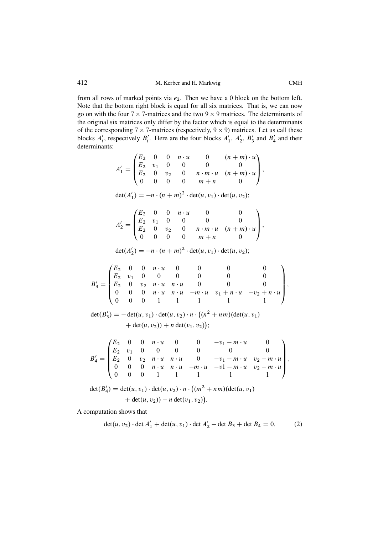<span id="page-25-0"></span>from all rows of marked points via  $e_2$ . Then we have a 0 block on the bottom left. Note that the bottom right block is equal for all six matrices. That is, we can now go on with the four  $7 \times 7$ -matrices and the two  $9 \times 9$  matrices. The determinants of the original six matrices only differ by the factor which is equal to the determinants of the corresponding  $7 \times 7$ -matrices (respectively,  $9 \times 9$ ) matrices. Let us call these blocks  $A'_i$ , respectively  $B'_i$ . Here are the four blocks  $A'_1$ ,  $A'_2$ ,  $B'_3$  and  $B'_4$  and their determinants:

$$
A'_1 = \begin{pmatrix} E_2 & 0 & 0 & n \cdot u & 0 & (n+m) \cdot u \\ E_2 & v_1 & 0 & 0 & 0 & 0 \\ E_2 & 0 & v_2 & 0 & n \cdot m \cdot u & (n+m) \cdot u \\ 0 & 0 & 0 & 0 & m+n & 0 \end{pmatrix},
$$
  
\n
$$
\det(A'_1) = -n \cdot (n+m)^2 \cdot \det(u, v_1) \cdot \det(u, v_2);
$$
  
\n
$$
A'_2 = \begin{pmatrix} E_2 & 0 & 0 & n \cdot u & 0 & 0 \\ E_2 & v_1 & 0 & 0 & 0 & 0 \\ E_2 & 0 & v_2 & 0 & n \cdot m \cdot u & (n+m) \cdot u \\ 0 & 0 & 0 & 0 & m+n & 0 \end{pmatrix},
$$
  
\n
$$
\det(A'_2) = -n \cdot (n+m)^2 \cdot \det(u, v_1) \cdot \det(u, v_2);
$$
  
\n
$$
B'_3 = \begin{pmatrix} E_2 & 0 & 0 & n \cdot u & 0 & 0 & 0 & 0 \\ E_2 & v_1 & 0 & 0 & 0 & 0 & 0 & 0 \\ E_2 & v_1 & 0 & 0 & 0 & 0 & 0 & 0 \\ 0 & 0 & 0 & n \cdot u & n \cdot u & -m \cdot u & v_1 + n \cdot u & -v_2 + n \cdot u \\ 0 & 0 & 0 & 1 & 1 & 1 & 1 & 1 \end{pmatrix},
$$
  
\n
$$
\det(B'_3) = -\det(u, v_1) \cdot \det(u, v_2) \cdot n \cdot \left( (n^2 + nm)(\det(u, v_1) + \det(u, v_2) + n \det(v_1, v_2) \right);
$$
  
\n
$$
B'_4 = \begin{pmatrix} E_2 & 0 & 0 & n \cdot u & 0 & 0 & -v_1 - m \cdot u & 0 \\ E_2 & v_1 & 0 & 0 & 0 & 0 & 0 & 0 \\ E_2 & 0 & v_2 & n \cdot u & n \cdot u & 0 & -v_1 - m \cdot u & v_2 - m \cdot u \\ 0 & 0 & 0 & 1 & 1 & 1 & 1 & 1 \end{pmatrix},
$$
  
\n
$$
\det(B'_4) = \det(u, v_1) \cdot
$$

A computation shows that

$$
\det(u, v_2) \cdot \det A'_1 + \det(u, v_1) \cdot \det A'_2 - \det B_3 + \det B_4 = 0.
$$
 (2)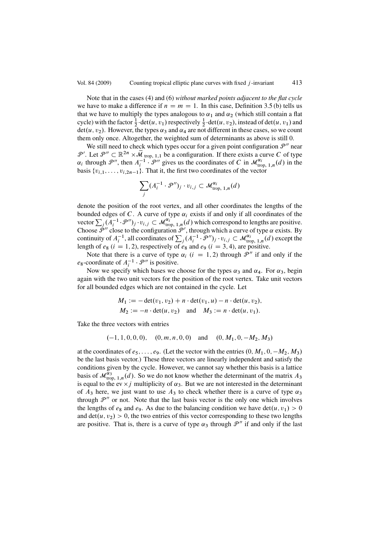Note that in the cases (4) and (6) *without marked points adjacent to the flat cycle* we have to make a difference if  $n = m = 1$ . In this case, Definition [3.5 \(b\)](#page-8-0) tells us that we have to multiply the types analogous to  $\alpha_1$  and  $\alpha_2$  (which still contain a flat cycle) with the factor  $\frac{1}{2} \cdot \det(u, v_1)$  respectively  $\frac{1}{2} \cdot \det(u, v_2)$ , instead of  $\det(u, v_1)$  and  $\det(u, v_2)$ . However, the types  $\alpha_2$  and  $\alpha_3$  are not different in these cases, so we count  $det(u, v_2)$ . However, the types  $\alpha_3$  and  $\alpha_4$  are not different in these cases, so we count them only once. Altogether, the weighted sum of determinants as above is still 0.

We still need to check which types occur for a given point configuration  $\mathcal{P}''$  near P'. Let  $\mathcal{P}'' \subset \mathbb{R}^{2n} \times \overline{\mathcal{M}}_{\text{trop, 1,1}}$  be a configuration. If there exists a curve C of type  $\alpha_i$  through  $\mathcal{P}''$ , then  $A_i^{-1} \cdot \mathcal{P}''$  gives us the coordinates of C in  $\mathcal{M}_{\text{trop, 1, n}}^{\alpha_i}(d)$  in the basis  $\{v_{i,1},\ldots,v_{i,2n-1}\}.$  That it, the first two coordinates of the vector

$$
\sum_j (A_i^{-1} \cdot \mathcal{P}'')_j \cdot v_{i,j} \subset \mathcal{M}_{\text{trop, 1},n}^{\alpha_i}(d)
$$

denote the position of the root vertex, and all other coordinates the lengths of the bounded edges of C. A curve of type  $\alpha_i$  exists if and only if all coordinates of the vector  $\sum_j (A_i^{-1} \cdot \mathcal{P}'')_j \cdot v_{i,j} \subset \mathcal{M}_{\text{trop}, 1,n}^{\alpha_i}(d)$  which correspond to lengths are positive.<br>Choose  $\mathcal{P}''$  close to the configuration  $\mathcal{P}'$  through which a curve of type  $\alpha$  exists. By Choose  $\mathcal{P}''$  close to the configuration  $\mathcal{P}'$ , through which a curve of type  $\alpha$  exists. By continuity of  $A_i^{-1}$ , all coordinates of  $\sum_j (A_i^{-1} \cdot \mathcal{P}'')_j \cdot v_{i,j} \subset \mathcal{M}_{\text{trop, 1},n}^{\alpha_i} (d)$  except the length of  $e_8$  ( $i = 1, 2$ ), respectively of  $e_8$  and  $e_9$  ( $i = 3, 4$ ), are positive.

Note that there is a curve of type  $\alpha_i$  (i = 1, 2) through  $\mathcal{P}''$  if and only if the  $e_8$ -coordinate of  $A_i^{-1} \cdot \mathcal{P}''$  is positive.<br>Now we specify which bases we

Now we specify which bases we choose for the types  $\alpha_3$  and  $\alpha_4$ . For  $\alpha_3$ , begin again with the two unit vectors for the position of the root vertex. Take unit vectors for all bounded edges which are not contained in the cycle. Let

$$
M_1 := -\det(v_1, v_2) + n \cdot \det(v_1, u) - n \cdot \det(u, v_2),
$$
  
\n
$$
M_2 := -n \cdot \det(u, v_2) \text{ and } M_3 := n \cdot \det(u, v_1).
$$

Take the three vectors with entries

$$
(-1, 1, 0, 0, 0), (0, m, n, 0, 0)
$$
 and  $(0, M_1, 0, -M_2, M_3)$ 

at the coordinates of  $e_5$ , ...,  $e_9$ . (Let the vector with the entries  $(0, M_1, 0, -M_2, M_3)$ )<br>be the last basis vector.) These three vectors are linearly independent and satisfy the be the last basis vector.) These three vectors are linearly independent and satisfy the conditions given by the cycle. However, we cannot say whether this basis is a lattice basis of  $\mathcal{M}_{\text{trop}, 1,n}^{\alpha_3}(d)$ . So we do not know whether the determinant of the matrix  $A_3$ is equal to the ev  $\times j$  multiplicity of  $\alpha_3$ . But we are not interested in the determinant of  $A_3$  here, we just want to use  $A_3$  to check whether there is a curve of type  $\alpha_3$ through  $\mathcal{P}''$  or not. Note that the last basis vector is the only one which involves the lengths of  $e_8$  and  $e_9$ . As due to the balancing condition we have det $(u, v_1) > 0$ and  $det(u, v_2) > 0$ , the two entries of this vector corresponding to these two lengths are positive. That is, there is a curve of type  $\alpha_3$  through  $\mathcal{P}''$  if and only if the last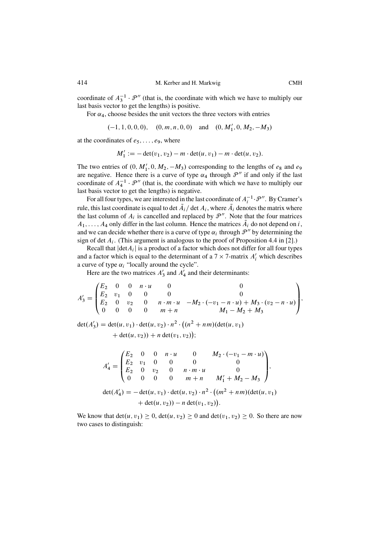coordinate of  $A_3^{-1} \cdot \mathcal{P}''$  (that is, the coordinate with which we have to multiply our last basis vector to get the lengths) is positive.

For  $\alpha_4$ , choose besides the unit vectors the three vectors with entries

$$
(-1, 1, 0, 0, 0), (0, m, n, 0, 0)
$$
 and  $(0, M'_1, 0, M_2, -M_3)$ 

at the coordinates of  $e_5$ , ...,  $e_9$ , where

$$
M'_1 := -\det(v_1, v_2) - m \cdot \det(u, v_1) - m \cdot \det(u, v_2).
$$

The two entries of  $(0, M'_1, 0, M_2, -M_3)$  corresponding to the lengths of  $e_8$  and  $e_9$ <br>are negative. Hence there is a curve of type  $\alpha$ , through  $\mathcal{P}''$  if and only if the last are negative. Hence there is a curve of type  $\alpha_4$  through  $\mathcal{P}''$  if and only if the last coordinate of  $A_4^{-1} \cdot \mathcal{P}''$  (that is, the coordinate with which we have to multiply our last basis vector to get the lengths) is negative.

For all four types, we are interested in the last coordinate of  $A_i^{-1} \cdot \mathcal{P}''$ . By Cramer's<br>in this lost coordinate is cause to det  $\tilde{A}$ , (det  $A$ , where  $\tilde{A}$ , denotes the matrix where rule, this last coordinate is equal to det  $A_i$  det  $A_i$ , where  $A_i$  denotes the matrix where the last column of  $A_i$  is cancelled and replaced by  $\mathcal{P}''$ . Note that the four matrices  $A_1, \ldots, A_4$  only differ in the last column. Hence the matrices  $A_i$  do not depend on i, and we can decide whether there is a curve of type  $\alpha_i$  through  $\mathcal{P}''$  by determining the sign of det  $A_i$ . (This argument is analogous to the proof of Proposition 4.4 in [\[2\]](#page-40-0).)

Recall that  $|\text{det}A_i|$  is a product of a factor which does not differ for all four types and a factor which is equal to the determinant of a  $7 \times 7$ -matrix  $A'_i$  which describes a curve of type  $\alpha$ : "locally around the cycle" a curve of type  $\alpha_i$  "locally around the cycle".

Here are the two matrices  $A'_3$  and  $A'_4$  and their determinants:

$$
A'_3 = \begin{pmatrix} E_2 & 0 & 0 & n \cdot u & 0 & 0 \\ E_2 & v_1 & 0 & 0 & 0 & 0 \\ E_2 & 0 & v_2 & 0 & n \cdot m \cdot u & -M_2 \cdot (-v_1 - n \cdot u) + M_3 \cdot (v_2 - n \cdot u) \\ 0 & 0 & 0 & m + n & M_1 - M_2 + M_3 \end{pmatrix},
$$

det $(A'_3) = \det(u, v_1) \cdot \det(u, v_2) \cdot n^2 \cdot ((n^2 + nm)(\det(u, v_1)))$  $+ \det(u, v_2) + n \det(v_1, v_2)$  $\overline{\phantom{a}}$ 

$$
A'_4 = \begin{pmatrix} E_2 & 0 & 0 & n \cdot u & 0 & M_2 \cdot (-v_1 - m \cdot u) \\ E_2 & v_1 & 0 & 0 & 0 & 0 \\ E_2 & 0 & v_2 & 0 & n \cdot m \cdot u & 0 \\ 0 & 0 & 0 & m + n & M'_1 + M_2 - M_3 \end{pmatrix},
$$
  
\n
$$
det(A'_4) = -det(u, v_1) \cdot det(u, v_2) \cdot n^2 \cdot ((m^2 + nm)(det(u, v_1) + det(u, v_2)) - n det(v_1, v_2)).
$$

We know that  $det(u, v_1) \ge 0$ ,  $det(u, v_2) \ge 0$  and  $det(v_1, v_2) \ge 0$ . So there are now two cases to distinguish: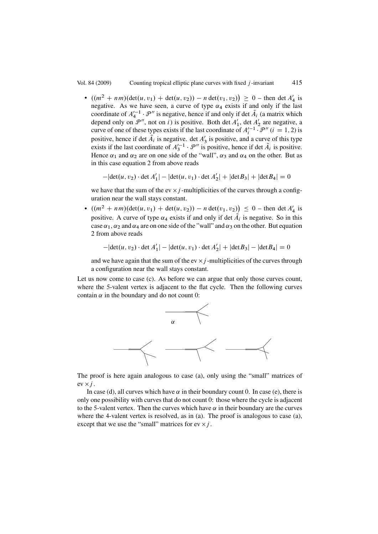•  $((m^2 + nm)(\det(u, v_1) + \det(u, v_2)) - n \det(v_1, v_2)) \ge 0$  – then det  $A'_4$  is<br>negative. As we have seen a curve of type  $\alpha_i$  exists if and only if the last negative. As we have seen, a curve of type  $\alpha_4$  exists if and only if the last coordinate of  $A'^{-1}_4 \cdot \mathcal{P}''$  is negative, hence if and only if det  $\tilde{A}_i$  (a matrix which depend only on  $\mathcal{P}''$  not on i) is nositive. Both det  $A'$  det  $A'$  are negative a depend only on  $\mathcal{P}''$ , not on i) is positive. Both det  $A'_1$ , det  $A'_2$  are negative, a curve of one of these types exists if the last coordinate of  $A_i'^{-1} \cdot \mathcal{P}''$   $(i = 1, 2)$  is positive, hence if det  $A_i$  is negative. det  $A'_3$  is positive, and a curve of this type exists if the last coordinate of  $A_3^{-1} \cdot \mathcal{P}''$  is positive, hence if det  $A_i$  is positive.<br>Hence  $\alpha_i$  and  $\alpha_2$  are on one side of the "wall"  $\alpha_2$  and  $\alpha_i$  on the other. But as Hence  $\alpha_1$  and  $\alpha_2$  are on one side of the "wall",  $\alpha_3$  and  $\alpha_4$  on the other. But as in this case equation [2](#page-25-0) from above reads

$$
-|\det(u, v_2) \cdot \det A'_1| - |\det(u, v_1) \cdot \det A'_2| + |\det B_3| + |\det B_4| = 0
$$

we have that the sum of the ev  $\times$  *i* -multiplicities of the curves through a configuration near the wall stays constant.

•  $((m^2 + nm)(\det(u, v_1) + \det(u, v_2)) - n \det(v_1, v_2)) \le 0$  – then det  $A'_4$  is<br>noting. A surve of type  $\alpha$ , evitte if and only if det  $\tilde{A}_4$  is negative. So in this positive. A curve of type  $\alpha_4$  exists if and only if det  $A_i$  is negative. So in this case  $\alpha_1$ ,  $\alpha_2$  and  $\alpha_4$  are on one side of the "wall" and  $\alpha_3$  on the other. But equation [2](#page-25-0) from above reads

$$
-|\det(u, v_2) \cdot \det A'_1| - |\det(u, v_1) \cdot \det A'_2| + |\det B_3| - |\det B_4| = 0
$$

and we have again that the sum of the ev  $\times j$ -multiplicities of the curves through a configuration near the wall stays constant.

Let us now come to case [\(c\).](#page-20-0) As before we can argue that only those curves count, where the 5-valent vertex is adjacent to the flat cycle. Then the following curves contain  $\alpha$  in the boundary and do not count 0:



The proof is here again analogous to case [\(a\),](#page-20-0) only using the "small" matrices of  $ev \times j$ .

In case [\(d\),](#page-20-0) all curves which have  $\alpha$  in their boundary count 0. In case [\(e\),](#page-20-0) there is only one possibility with curves that do not count 0: those where the cycle is adjacent to the 5-valent vertex. Then the curves which have  $\alpha$  in their boundary are the curves where the 4-valent vertex is resolved, as in [\(a\).](#page-20-0) The proof is analogous to case [\(a\),](#page-20-0) except that we use the "small" matrices for  $ev \times j$ .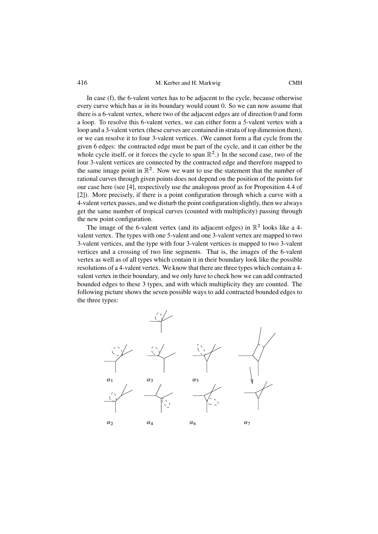In case [\(f\),](#page-20-0) the 6-valent vertex has to be adjacent to the cycle, because otherwise every curve which has  $\alpha$  in its boundary would count 0. So we can now assume that there is a 6-valent vertex, where two of the adjacent edges are of direction 0 and form a loop. To resolve this 6-valent vertex, we can either form a 5-valent vertex with a loop and a 3-valent vertex (these curves are contained in strata of top dimension then), or we can resolve it to four 3-valent vertices. (We cannot form a flat cycle from the given 6 edges: the contracted edge must be part of the cycle, and it can either be the whole cycle itself, or it forces the cycle to span  $\mathbb{R}^2$ .) In the second case, two of the four 3-valent vertices are connected by the contracted edge and therefore mapped to the same image point in  $\mathbb{R}^2$ . Now we want to use the statement that the number of rational curves through given points does not depend on the position of the points for our case here (see [\[4\]](#page-40-0), respectively use the analogous proof as for Proposition 4.4 of [\[2\]](#page-40-0)). More precisely, if there is a point configuration through which a curve with a 4-valent vertex passes, and we disturb the point configuration slightly, then we always get the same number of tropical curves (counted with multiplicity) passing through the new point configuration.

The image of the 6-valent vertex (and its adjacent edges) in  $\mathbb{R}^2$  looks like a 4valent vertex. The types with one 5-valent and one 3-valent vertex are mapped to two 3-valent vertices, and the type with four 3-valent vertices is mapped to two 3-valent vertices and a crossing of two line segments. That is, the images of the 6-valent vertex as well as of all types which contain it in their boundary look like the possible resolutions of a 4-valent vertex. We know that there are three types which contain a 4 valent vertex in their boundary, and we only have to check how we can add contracted bounded edges to these 3 types, and with which multiplicity they are counted. The following picture shows the seven possible ways to add contracted bounded edges to the three types:

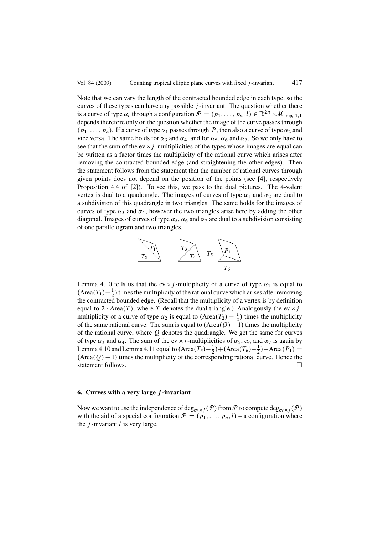<span id="page-30-0"></span>Note that we can vary the length of the contracted bounded edge in each type, so the curves of these types can have any possible  $j$ -invariant. The question whether there is a curve of type  $\alpha_i$  through a configuration  $\mathcal{P} = (p_1,\ldots,p_n,l) \in \mathbb{R}^{2n} \times \mathcal{M}$  trop, 1,1 depends therefore only on the question whether the image of the curve passes through  $(p_1,\ldots,p_n)$ . If a curve of type  $\alpha_1$  passes through  $\mathcal P$ , then also a curve of type  $\alpha_2$  and vice versa. The same holds for  $\alpha_3$  and  $\alpha_4$ , and for  $\alpha_5$ ,  $\alpha_6$  and  $\alpha_7$ . So we only have to see that the sum of the ev  $\times j$  -multiplicities of the types whose images are equal can be written as a factor times the multiplicity of the rational curve which arises after removing the contracted bounded edge (and straightening the other edges). Then the statement follows from the statement that the number of rational curves through given points does not depend on the position of the points (see [\[4\]](#page-40-0), respectively Proposition 4.4 of [\[2\]](#page-40-0)). To see this, we pass to the dual pictures. The 4-valent vertex is dual to a quadrangle. The images of curves of type  $\alpha_1$  and  $\alpha_2$  are dual to a subdivision of this quadrangle in two triangles. The same holds for the images of curves of type  $\alpha_3$  and  $\alpha_4$ , however the two triangles arise here by adding the other diagonal. Images of curves of type  $\alpha_5$ ,  $\alpha_6$  and  $\alpha_7$  are dual to a subdivision consisting of one parallelogram and two triangles.



Lemma [4.10](#page-15-0) tells us that the ev  $\times j$ -multiplicity of a curve of type  $\alpha_1$  is equal to  $(\text{Area}(T_1) - \frac{1}{2})$  times the multiplicity of the rational curve which arises after removing<br>the contracted bounded edge. (Recall that the multiplicity of a vertex is by definition the contracted bounded edge. (Recall that the multiplicity of a vertex is by definition equal to  $2 \cdot \text{Area}(T)$ , where T denotes the dual triangle.) Analogously the ev  $\times j$ multiplicity of a curve of type  $\alpha_2$  is equal to  $(Area(T_2) - \frac{1}{2})$  times the multiplicity<br>of the same rational curve. The sum is equal to  $(Area(O) - 1)$  times the multiplicity of the same rational curve. The sum is equal to  $(Area(Q) - 1)$  times the multiplicity<br>of the rational curve, where  $\Omega$  denotes the quadrangle. We get the same for curves of the rational curve, where  $Q$  denotes the quadrangle. We get the same for curves of type  $\alpha_3$  and  $\alpha_4$ . The sum of the ev  $\times j$ -multiplicities of  $\alpha_5$ ,  $\alpha_6$  and  $\alpha_7$  is again by Lemma [4.10](#page-15-0) and Lemma [4.11](#page-16-0) equal to  $(Area(T_5)-\frac{1}{2})+(Area(T_6)-\frac{1}{2})+Area(P_1) = (Area(Q)-1)$  times the multiplicity of the corresponding rational curve. Hence the  $(Area(Q) - 1)$  times the multiplicity of the corresponding rational curve. Hence the statement follows statement follows.  $\Box$ 

### **6. Curves with a very large** j **-invariant**

Now we want to use the independence of deg<sub>ev  $\times j$ </sub>  $(P)$  from P to compute deg<sub>ev  $\times j$ </sub>  $(P)$ with the aid of a special configuration  $\mathcal{P} = (p_1, \ldots, p_n, l) - a$  configuration where the  $j$ -invariant  $l$  is very large.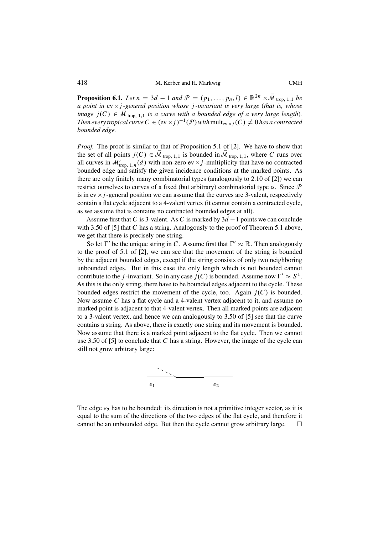**Proposition 6.1.** *Let*  $n = 3d - 1$  *and*  $\mathcal{P} = (p_1, ..., p_n, l) \in \mathbb{R}^{2n} \times \overline{\mathcal{M}}_{\text{trop, 1, 1}}$  *be* a point in ey  $\times$  *i*-general position whose *i*-invariant is very large (that is whose *a point in* ev  $\times$  *j -general position whose j -invariant is very large (that is, whose image*  $j(C) \in \mathcal{M}_{\text{trop}, 1,1}$  *is a curve with a bounded edge of a very large length*). *Then every tropical curve*  $C \in (\text{ev} \times j)^{-1}(\mathcal{P})$  *with*  $\text{mult}_{\text{ev} \times j}(C) \neq 0$  *has a contracted bounded edge.*

*Proof.* The proof is similar to that of Proposition 5.1 of [\[2\]](#page-40-0). We have to show that the set of all points  $j(C) \in \mathcal{M}_{\text{trop}, 1,1}$  is bounded in  $\mathcal{M}_{\text{trop}, 1,1}$ , where C runs over all curves in  $\mathcal{M}'_{\text{top, 1},n}(d)$  with non-zero ev  $\times j$ -multiplicity that have no contracted<br>bounded edge and estisty the given incidence conditions at the marked points. As bounded edge and satisfy the given incidence conditions at the marked points. As there are only finitely many combinatorial types (analogously to 2.10 of [\[2\]](#page-40-0)) we can restrict ourselves to curves of a fixed (but arbitrary) combinatorial type  $\alpha$ . Since  $\mathcal P$ is in ev  $\times j$  -general position we can assume that the curves are 3-valent, respectively contain a flat cycle adjacent to a 4-valent vertex (it cannot contain a contracted cycle, as we assume that is contains no contracted bounded edges at all).

Assume first that C is 3-valent. As C is marked by  $3d - 1$  points we can conclude b 3.50 of  $[5]$  that C has a string. Analogously to the proof of Theorem 5.1 above with 3.50 of  $[5]$  that C has a string. Analogously to the proof of Theorem [5.1](#page-20-0) above, we get that there is precisely one string.

So let  $\Gamma'$  be the unique string in C. Assume first that  $\Gamma' \approx \mathbb{R}$ . Then analogously<br>be proof of 5.1 of [2], we can see that the movement of the string is bounded to the proof of 5.1 of [\[2\]](#page-40-0), we can see that the movement of the string is bounded by the adjacent bounded edges, except if the string consists of only two neighboring unbounded edges. But in this case the only length which is not bounded cannot contribute to the *j*-invariant. So in any case  $j(C)$  is bounded. Assume now  $\Gamma' \approx S^1$ . As this is the only string, there have to be bounded edges adjacent to the cycle. These bounded edges restrict the movement of the cycle, too. Again  $j(C)$  is bounded. Now assume  $C$  has a flat cycle and a 4-valent vertex adjacent to it, and assume no marked point is adjacent to that 4-valent vertex. Then all marked points are adjacent to a 3-valent vertex, and hence we can analogously to 3.50 of [\[5\]](#page-40-0) see that the curve contains a string. As above, there is exactly one string and its movement is bounded. Now assume that there is a marked point adjacent to the flat cycle. Then we cannot use 3.50 of [\[5\]](#page-40-0) to conclude that  $C$  has a string. However, the image of the cycle can still not grow arbitrary large:



The edge  $e_2$  has to be bounded: its direction is not a primitive integer vector, as it is equal to the sum of the directions of the two edges of the flat cycle, and therefore it cannot be an unbounded edge. But then the cycle cannot grow arbitrary large.  $\Box$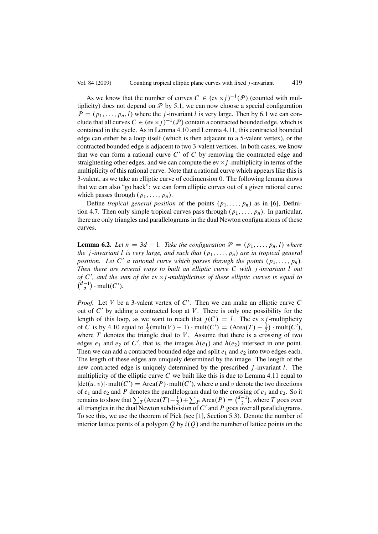<span id="page-32-0"></span>As we know that the number of curves  $C \in (\text{ev} \times j)^{-1}(\mathcal{P})$  (counted with multiplicity) does not depend on  $P$  by [5.1,](#page-20-0) we can now choose a special configuration  $\mathcal{P} = (p_1, \ldots, p_n, l)$  where the *j*-invariant *l* is very large. Then by [6.1](#page-30-0) we can conclude that all curves  $C \in (ev \times j)^{-1}(\mathcal{P})$  contain a contracted bounded edge, which is contained in the cycle. As in Lemma [4.10](#page-15-0) and Lemma [4.11,](#page-16-0) this contracted bounded edge can either be a loop itself (which is then adjacent to a 5-valent vertex), or the contracted bounded edge is adjacent to two 3-valent vertices. In both cases, we know that we can form a rational curve  $C'$  of C by removing the contracted edge and straightening other edges, and we can compute the ev  $\times j$  -multiplicity in terms of the multiplicity of this rational curve. Note that a rational curve which appears like this is 3-valent, as we take an elliptic curve of codimension 0. The following lemma shows that we can also "go back": we can form elliptic curves out of a given rational curve which passes through  $(p_1, \ldots, p_n)$ .

Define *tropical general position* of the points  $(p_1, \ldots, p_n)$  as in [\[6\]](#page-40-0), Definition 4.7. Then only simple tropical curves pass through  $(p_1, \ldots, p_n)$ . In particular, there are only triangles and parallelograms in the dual Newton configurations of these curves.

**Lemma 6.2.** Let  $n = 3d - 1$ . Take the configuration  $\mathcal{P} = (p_1, \ldots, p_n, l)$  where the *i*-invariant l is very large, and such that  $(n, \ldots, n)$  are in tropical general *the j*-invariant *l* is very large, and such that  $(p_1,...,p_n)$  are in tropical general *position. Let* C' *a rational curve which passes through the points*  $(p_1, \ldots, p_n)$ *. Then there are several ways to built an elliptic curve* C *with* j *-invariant* l *out of*  $C'$ , and the sum of the  $ev \times j$  *-multiplicities of these elliptic curves is equal to*  $d^{-1}$  multices  $\binom{d-1}{2} \cdot \text{mult}(C').$ 

*Proof.* Let V be a 3-valent vertex of  $C'$ . Then we can make an elliptic curve C out of  $C'$  by adding a contracted loop at V. There is only one possibility for the length of this loop, as we want to reach that  $j(C) = l$ . The ev  $\times j$ -multiplicity of C is by [4.10](#page-15-0) equal to  $\frac{1}{2}$ (mult $(V) - 1$ ) · mult $(C') = (\text{Area}(T) - \frac{1}{2})$  · mult $(C')$ ,<br>where T denotes the triangle dual to V. Assume that there is a crossing of two where  $T$  denotes the triangle dual to  $V$ . Assume that there is a crossing of two edges  $e_1$  and  $e_2$  of C', that is, the images  $h(e_1)$  and  $h(e_2)$  intersect in one point. Then we can add a contracted bounded edge and split  $e_1$  and  $e_2$  into two edges each. The length of these edges are uniquely determined by the image. The length of the new contracted edge is uniquely determined by the prescribed  $j$ -invariant  $l$ . The multiplicity of the elliptic curve C we built like this is due to Lemma [4.11](#page-16-0) equal to  $|\det(u, v)| \cdot \text{mult}(C') = \text{Area}(P) \cdot \text{mult}(C')$ , where u and v denote the two directions<br>of equal equal to the constant of the two directions of  $e_1$  and  $e_2$  and P denotes the parallelogram dual to the crossing of  $e_1$  and  $e_2$ . So it remains to show that  $\sum_{T} (\text{Area}(T) - \frac{1}{2}) + \sum_{P} \text{Area}(P) = {d-1 \choose 2}$ , where T goes over all triangles in the dual Newton subdivision of  $C'$  and  $P$  goes over all parallelograms. To see this, we use the theorem of Pick (see [\[1\]](#page-40-0), Section 5.3). Denote the number of interior lattice points of a polygon Q by  $i(Q)$  and the number of lattice points on the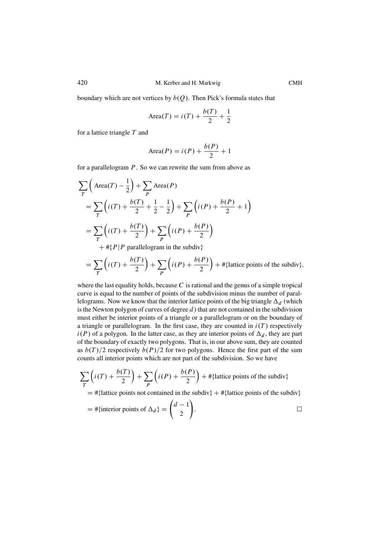boundary which are not vertices by  $b(Q)$ . Then Pick's formula states that

Area(T) = 
$$
i(T) + \frac{b(T)}{2} + \frac{1}{2}
$$

for a lattice triangle  $T$  and

$$
Area(P) = i(P) + \frac{b(P)}{2} + 1
$$

for a parallelogram  $P$ . So we can rewrite the sum from above as

$$
\sum_{T} \left( \text{Area}(T) - \frac{1}{2} \right) + \sum_{P} \text{Area}(P)
$$
  
= 
$$
\sum_{T} \left( i(T) + \frac{b(T)}{2} + \frac{1}{2} - \frac{1}{2} \right) + \sum_{P} \left( i(P) + \frac{b(P)}{2} + 1 \right)
$$
  
= 
$$
\sum_{T} \left( i(T) + \frac{b(T)}{2} \right) + \sum_{P} \left( i(P) + \frac{b(P)}{2} \right)
$$
  
+ 
$$
# \{ P | P \text{ parallelogram in the subdiv} \}
$$

$$
= \sum_{T} \left( i(T) + \frac{b(T)}{2} \right) + \sum_{P} \left( i(P) + \frac{b(P)}{2} \right) + # \{ \text{lattice points of the subdiv} \},
$$

where the last equality holds, because  $C$  is rational and the genus of a simple tropical curve is equal to the number of points of the subdivision minus the number of parallelograms. Now we know that the interior lattice points of the big triangle  $\Delta_d$  (which is the Newton polygon of curves of degree  $d$ ) that are not contained in the subdivision must either be interior points of a triangle or a parallelogram or on the boundary of a triangle or parallelogram. In the first case, they are counted in  $i(T)$  respectively  $i(P)$  of a polygon. In the latter case, as they are interior points of  $\Delta_d$ , they are part of the boundary of exactly two polygons. That is, in our above sum, they are counted as  $b(T)/2$  respectively  $b(P)/2$  for two polygons. Hence the first part of the sum counts all interior points which are not part of the subdivision. So we have

$$
\sum_{T} \left( i(T) + \frac{b(T)}{2} \right) + \sum_{P} \left( i(P) + \frac{b(P)}{2} \right) + # \{ \text{lattice points of the subdiv} \}
$$

 $=$  #{lattice points not contained in the subdiv} + #{lattice points of the subdiv}

$$
= #\{\text{interior points of } \Delta_d\} = \binom{d-1}{2}.
$$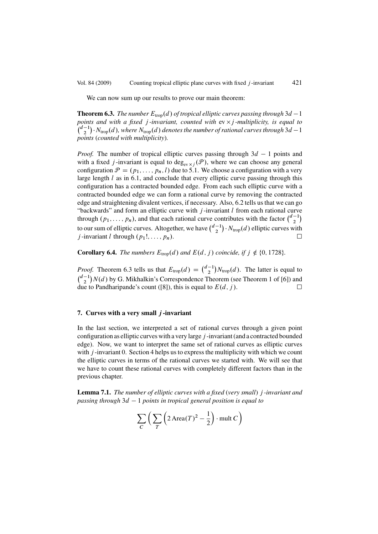<span id="page-34-0"></span>We can now sum up our results to prove our main theorem:

**Theorem 6.3.** *The number*  $E_{\text{trop}}(d)$  *of tropical elliptic curves passing through* 3*d* - 1 *noints and with a fixed i-invariant, counted with*  $\alpha \times i$ *-multiplicity is equal to points and with a fixed j-invariant, counted with*  $ev \times j$ *-multiplicity, is equal to*  $\left(\frac{d-1}{2}\right) \cdot N_{\text{trop}}(d)$ , where  $N_{\text{trop}}(d)$  denotes the number of rational curves through 3d – 1<br>points (counted with multiplicity) *points* (*counted with multiplicity*)*.*

*Proof.* The number of tropical elliptic curves passing through  $3d - 1$  points and with a fixed *i*-invariant is equal to deq. ( $P$ ) where we can choose any general with a fixed j-invariant is equal to deg<sub>ev x j</sub>  $(\mathcal{P})$ , where we can choose any general configuration  $\mathcal{P} = (p_1, \ldots, p_n, l)$  due to [5.1.](#page-20-0) We choose a configuration with a very large length  $l$  as in [6.1,](#page-30-0) and conclude that every elliptic curve passing through this configuration has a contracted bounded edge. From each such elliptic curve with a contracted bounded edge we can form a rational curve by removing the contracted edge and straightening divalent vertices, if necessary. Also, [6.2](#page-32-0) tells us that we can go "backwards" and form an elliptic curve with  $j$ -invariant  $l$  from each rational curve through  $(p_1, \ldots, p_n)$ , and that each rational curve contributes with the factor  $\binom{d-1}{2}$ to our sum of elliptic curves. Altogether, we have  $\binom{d-1}{2} \cdot N_{\text{trop}}(d)$  elliptic curves with  $i$ -invariant  $l$  through  $(n, 1, \ldots, n)$ *j*-invariant *l* through  $(p_1!, \ldots, p_n)$ .

**Corollary 6.4.** *The numbers*  $E_{\text{trop}}(d)$  *and*  $E(d, j)$  *coincide, if*  $j \notin \{0, 1728\}$ *.* 

*Proof.* Theorem 6.3 tells us that  $E_{\text{trop}}(d) = {d-1 \choose 2} N_{\text{trop}}(d)$ . The latter is equal to  $(d-1) N_{\text{t}}(d)$ .  $G(M)$  -  $G(M)$  $\binom{d-1}{2}N(d)$  by G. Mikhalkin's Correspondence Theorem (see Theorem 1 of [\[6\]](#page-40-0)) and due to Pandharipande's count ([\[8\]](#page-40-0)), this is equal to  $E(d, j)$ .  $\Box$ 

## **7. Curves with a very small** j **-invariant**

In the last section, we interpreted a set of rational curves through a given point configuration as elliptic curves with a very large j -invariant (and a contracted bounded edge). Now, we want to interpret the same set of rational curves as elliptic curves with  $j$ -invariant 0. Section [4](#page-11-0) helps us to express the multiplicity with which we count the elliptic curves in terms of the rational curves we started with. We will see that we have to count these rational curves with completely different factors than in the previous chapter.

**Lemma 7.1.** *The number of elliptic curves with a fixed* (*very small*) j *-invariant and passing through* 3d - 1 *points in tropical general position is equal to*

$$
\sum_{C} \left( \sum_{T} \left( 2 \text{Area}(T)^2 - \frac{1}{2} \right) \cdot \text{mult } C \right)
$$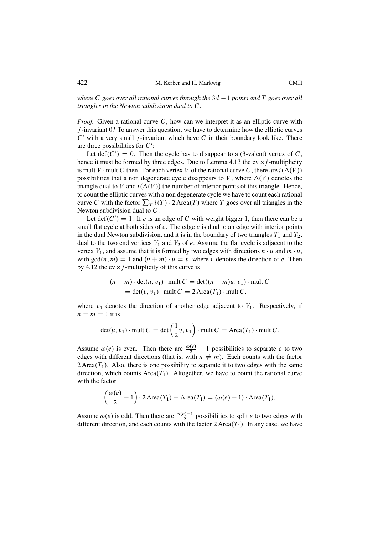*where* <sup>C</sup> *goes over all rational curves through the* 3d - 1 *points and* T *goes over all triangles in the Newton subdivision dual to* C*.*

*Proof.* Given a rational curve C, how can we interpret it as an elliptic curve with  $j$ -invariant 0? To answer this question, we have to determine how the elliptic curves  $C'$  with a very small j-invariant which have C in their boundary look like. There are three possibilities for  $C'$ :

Let def $(C') = 0$ . Then the cycle has to disappear to a (3-valent) vertex of C, ce it must be formed by three edges. Due to I emma 4.13 the ey  $\times$  i-multiplicity. hence it must be formed by three edges. Due to Lemma [4.13](#page-18-0) the ev  $\times j$ -multiplicity is mult V mult C then. For each vertex V of the rational curve C, there are  $i(\Delta(V))$ possibilities that a non degenerate cycle disappears to V, where  $\Delta(V)$  denotes the triangle dual to V and  $i(\Delta(V))$  the number of interior points of this triangle. Hence, to count the elliptic curves with a non degenerate cycle we have to count each rational curve C with the factor  $\sum_{T} i(T) \cdot 2$  Area $(T)$  where T goes over all triangles in the Newton subdivision dual to C Newton subdivision dual to C.

Let def $(C') = 1$ . If e is an edge of C with weight bigger 1, then there can be a pull flat cycle at both sides of e. The edge e is dual to an edge with interior points small flat cycle at both sides of  $e$ . The edge  $e$  is dual to an edge with interior points in the dual Newton subdivision, and it is in the boundary of two triangles  $T_1$  and  $T_2$ , dual to the two end vertices  $V_1$  and  $V_2$  of e. Assume the flat cycle is adjacent to the vertex  $V_1$ , and assume that it is formed by two edges with directions  $n \cdot u$  and  $m \cdot u$ , with  $gcd(n, m) = 1$  and  $(n + m) \cdot u = v$ , where v denotes the direction of e. Then by [4.12](#page-18-0) the ev  $\times$  *j*-multiplicity of this curve is

$$
(n + m) \cdot \det(u, v_1) \cdot \text{mult } C = \det((n + m)u, v_1) \cdot \text{mult } C
$$
  
= 
$$
\det(v, v_1) \cdot \text{mult } C = 2 \text{ Area}(T_1) \cdot \text{mult } C,
$$

where  $v_1$  denotes the direction of another edge adjacent to  $V_1$ . Respectively, if  $n = m = 1$  it is

$$
\det(u, v_1) \cdot \text{mult } C = \det\left(\frac{1}{2}v, v_1\right) \cdot \text{mult } C = \text{Area}(T_1) \cdot \text{mult } C.
$$

Assume  $\omega(e)$  is even. Then there are  $\frac{\omega(e)}{2} - 1$  possibilities to separate e to two Existence  $\omega(e)$  is even. Then there are  $\frac{1}{2}$  in possibilities to separate  $e$  to two edges with different directions (that is, with  $n \neq m$ ). Each counts with the factor 2 Area $(T_1)$ . Also, there is one possibility to separate it to two edges with the same direction, which counts Area $(T_1)$ . Altogether, we have to count the rational curve with the factor

$$
\left(\frac{\omega(e)}{2} - 1\right) \cdot 2 \operatorname{Area}(T_1) + \operatorname{Area}(T_1) = (\omega(e) - 1) \cdot \operatorname{Area}(T_1).
$$

Assume  $\omega(e)$  is odd. Then there are  $\frac{\omega(e)-1}{2}$  possibilities to split *e* to two edges with different direction, and each counts with the factor  $2 \text{Area}(T_1)$ . In any case, we have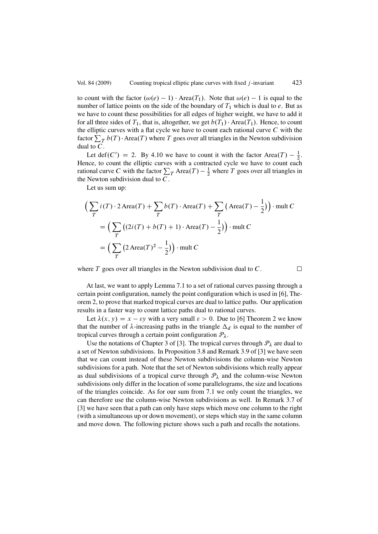to count with the factor  $(\omega(e) - 1) \cdot \text{Area}(T_1)$ . Note that  $\omega(e) - 1$  is equal to the number of lattice points on the side of the boundary of  $T_c$  which is dual to e. But as number of lattice points on the side of the boundary of  $T_1$  which is dual to e. But as we have to count these possibilities for all edges of higher weight, we have to add it for all three sides of  $T_1$ , that is, altogether, we get  $b(T_1) \cdot \text{Area}(T_1)$ . Hence, to count the elliptic curves with a flat cycle we have to count each rational curve  $C$  with the factor  $\sum_T b(T) \cdot \text{Area}(T)$  where T goes over all triangles in the Newton subdivision dual to C dual to  $C$ .

Let def $(C') = 2$ . By [4.10](#page-15-0) we have to count it with the factor Area. $(T) - \frac{1}{2}$ . Hence, to count the elliptic curves with a contracted cycle we have to count each rational curve C with the factor  $\sum_{T} \text{Area}(T) - \frac{1}{2}$  where T goes over all triangles in the Newton subdivision dual to C the Newton subdivision dual to  $C$ .

Let us sum up:

$$
\left(\sum_{T} i(T) \cdot 2 \operatorname{Area}(T) + \sum_{T} b(T) \cdot \operatorname{Area}(T) + \sum_{T} \left(\operatorname{Area}(T) - \frac{1}{2}\right)\right) \cdot \operatorname{mult} C
$$

$$
= \left(\sum_{T} \left((2i(T) + b(T) + 1) \cdot \operatorname{Area}(T) - \frac{1}{2}\right)\right) \cdot \operatorname{mult} C
$$

$$
= \left(\sum_{T} \left(2 \operatorname{Area}(T)^2 - \frac{1}{2}\right)\right) \cdot \operatorname{mult} C
$$

where  $T$  goes over all triangles in the Newton subdivision dual to  $C$ .

 $\Box$ 

At last, we want to apply Lemma [7.1](#page-34-0) to a set of rational curves passing through a certain point configuration, namely the point configuration which is used in [\[6\]](#page-40-0), Theorem 2, to prove that marked tropical curves are dual to lattice paths. Our application results in a faster way to count lattice paths dual to rational curves.

Let  $\lambda(x, y) = x - \varepsilon y$  with a very small  $\varepsilon > 0$ . Due to [\[6\]](#page-40-0) Theorem 2 we know that the number of  $\lambda$ -increasing paths in the triangle  $\Delta_d$  is equal to the number of tropical curves through a certain point configuration  $\mathcal{P}_{\lambda}$ .

Use the notations of Chapter 3 of [\[3\]](#page-40-0). The tropical curves through  $P_{\lambda}$  are dual to a set of Newton subdivisions. In Proposition 3.8 and Remark 3.9 of [\[3\]](#page-40-0) we have seen that we can count instead of these Newton subdivisions the column-wise Newton subdivisions for a path. Note that the set of Newton subdivisions which really appear as dual subdivisions of a tropical curve through  $\mathcal{P}_{\lambda}$  and the column-wise Newton subdivisions only differ in the location of some parallelograms, the size and locations of the triangles coincide. As for our sum from [7.1](#page-34-0) we only count the triangles, we can therefore use the column-wise Newton subdivisions as well. In Remark 3.7 of [\[3\]](#page-40-0) we have seen that a path can only have steps which move one column to the right (with a simultaneous up or down movement), or steps which stay in the same column and move down. The following picture shows such a path and recalls the notations.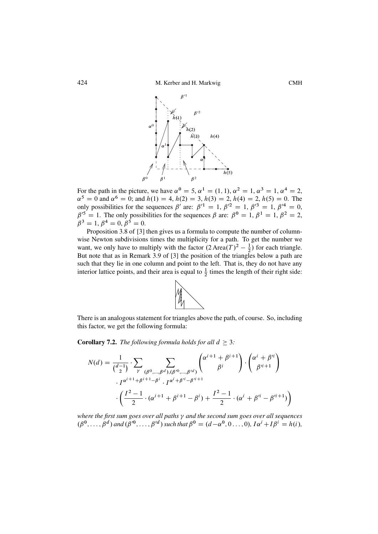<span id="page-37-0"></span>

For the path in the picture, we have  $\alpha^0 = 5$ ,  $\alpha^1 = (1, 1)$ ,  $\alpha^2 = 1$ ,  $\alpha^3 = 1$ ,  $\alpha^4 = 2$ ,  $\alpha^5 = 0$  and  $\alpha^6 = 0$ ; and  $h(1) = 4$ ,  $h(2) = 3$ ,  $h(3) = 2$ ,  $h(4) = 2$ ,  $h(5) = 0$ . The only possibilities for the sequences  $\beta'$  are:  $\beta'^1 = 1$ ,  $\beta'^2 = 1$ ,  $\beta'^3 = 1$ ,  $\beta'^4 = 0$ only possibilities for the sequences  $\beta'$  are:  $\beta'^1 = 1$ ,  $\beta'^2 = 1$ ,  $\beta'^3 = 1$ ,  $\beta'^4 = 0$ ,  $\beta'^5 = 1$ . The only possibilities for the sequences  $\beta$  are:  $\beta^0 = 1$ ,  $\beta^1 = 1$ ,  $\beta^2 = 2$ .  $\beta'^5 = 1$ . The only possibilities for the sequences  $\beta$  are:  $\beta^0 = 1$ ,  $\beta^1 = 1$ ,  $\beta^2 = 2$ ,  $\beta^3 = 1$ ,  $\beta^4 = 0$ ,  $\beta^5 = 0$  $\beta^3 = 1, \beta^4 = 0, \beta^5 = 0.$ 

Proposition 3.8 of [\[3\]](#page-40-0) then gives us a formula to compute the number of columnwise Newton subdivisions times the multiplicity for a path. To get the number we want, we only have to multiply with the factor  $(2 \text{ Area}(T)^2 - \frac{1}{2})$  for each triangle.<br>But note that as in Remark 3.9 of [3] the position of the triangles below a path are But note that as in Remark 3.9 of [\[3\]](#page-40-0) the position of the triangles below a path are such that they lie in one column and point to the left. That is, they do not have any interior lattice points, and their area is equal to  $\frac{1}{2}$  times the length of their right side:



There is an analogous statement for triangles above the path, of course. So, including this factor, we get the following formula:

**Corollary 7.2.** *The following formula holds for all*  $d \geq 3$ *:* 

$$
N(d) = \frac{1}{\binom{d-1}{2}} \cdot \sum_{\gamma} \sum_{(\beta^0,\dots,\beta^d),(\beta'^0,\dots,\beta'^d)} \binom{\alpha^{i+1}+\beta^{i+1}}{\beta^i} \cdot \binom{\alpha^i+\beta'^i}{\beta'^{i+1}} - \frac{1}{\binom{\alpha^{i+1}+\beta^{i+1}-\beta^i}{} \cdot I^{\alpha^i+\beta'^i-\beta'^{i+1}}}{\binom{I^2-1}{2} \cdot (\alpha^{i+1}+\beta^{i+1}-\beta^i) + \frac{I^2-1}{2} \cdot (\alpha^i+\beta'^i-\beta'^{i+1})}
$$

*where the first sum goes over all paths γ and the second sum goes over all sequences*  $(\beta^0, \ldots, \beta^d)$  and  $(\beta'^0, \ldots, \beta'^d)$  such that  $\beta^0 = (d - \alpha^0, 0 \ldots, 0)$ ,  $I\alpha^i + I\beta^i = h(i)$ ,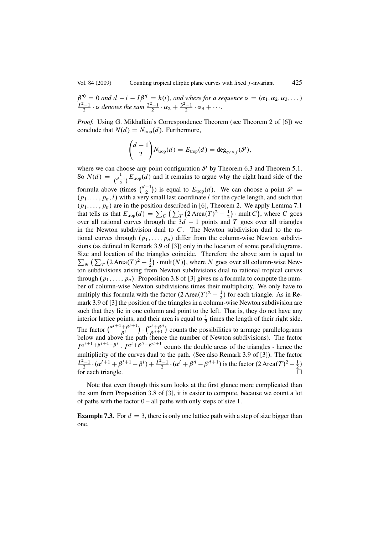$\beta'^0 = 0$  and  $d - i - 1\beta'^i = h(i)$ , and where for a sequence  $\alpha = (\alpha_1, \alpha_2, \alpha_3, \dots)$ <br> $I^2-1$ , as denotes the sum  $2^{2}-1$ , as  $\beta^{3}-1$ , as  $\beta$  $\frac{I^2-1}{2} \cdot \alpha$  denotes the sum  $\frac{2^2-1}{2} \cdot \alpha_2 + \frac{3^2-1}{2} \cdot \alpha_3 + \cdots$ .

*Proof.* Using G. Mikhalkin's Correspondence Theorem (see Theorem 2 of [\[6\]](#page-40-0)) we conclude that  $N(d) = N_{\text{tron}}(d)$ . Furthermore,

$$
\begin{pmatrix} d-1 \ 2 \end{pmatrix} N_{\text{trop}}(d) = E_{\text{trop}}(d) = \deg_{\text{ev}\times j}(\mathcal{P}),
$$

where we can choose any point configuration  $P$  by Theorem [6.3](#page-34-0) and Theorem [5.1.](#page-20-0) So  $N(d) = \frac{1}{\binom{d-1}{2}} E_{\text{trop}}(d)$  and it remains to argue why the right hand side of the formula above (times  $\binom{d-1}{2}$ ) is equal to  $E_{\text{trop}}(d)$ . We can choose a point  $\mathcal{P} =$  $(p_1, \ldots, p_n, l)$  with a very small last coordinate l for the cycle length, and such that  $(p_1, \ldots, p_n)$  are in the position described in [\[6\]](#page-40-0), Theorem 2. We apply Lemma [7.1](#page-34-0) that tells us that  $E_{\text{trop}}(d) = \sum_{C} \left( \sum_{T} (2 \text{Area}(T)^2 - \frac{1}{2}) \cdot \text{mult } C \right)$ , where C goes over all rational curves through the  $3d - 1$  points and T goes over all triangles<br>in the Newton subdivision dual to C. The Newton subdivision dual to the rain the Newton subdivision dual to  $C$ . The Newton subdivision dual to the rational curves through  $(p_1,...,p_n)$  differ from the column-wise Newton subdivisions (as defined in Remark 3.9 of [\[3\]](#page-40-0)) only in the location of some parallelograms. Size and location of the triangles coincide. Therefore the above sum is equal to  $\sum_{N} (\sum_{T} (2 \text{Area}(T)^2 - \frac{1}{2}) \cdot \text{mult}(N))$ , where N goes over all column-wise Newton subdivisions arising from Newton subdivisions dual to rational tropical curves through  $(p_1,...,p_n)$ . Proposition 3.8 of [\[3\]](#page-40-0) gives us a formula to compute the number of column-wise Newton subdivisions times their multiplicity. We only have to multiply this formula with the factor  $(2 \text{ Area}(T)^2 - \frac{1}{2})$  for each triangle. As in Re-<br>mark 3.9 of [3] the position of the triangles in a column-wise Newton subdivision are mark 3.9 of [\[3\]](#page-40-0) the position of the triangles in a column-wise Newton subdivision are such that they lie in one column and point to the left. That is, they do not have any interior lattice points, and their area is equal to  $\frac{1}{2}$  times the length of their right side. The factor  $\binom{\alpha^{i+1}+\beta^{i+1}}{\beta^i}$ .<br>t  $\binom{\alpha^i+\beta'^i}{\beta'^{i+1}}$  counts the possibilities to arrange parallelograms below and above the path (hence the number of Newton subdivisions). The factor  $I^{\alpha^{i+1}+\beta^{i+1}-\beta^{i}} \cdot I^{\alpha^{i}+\beta^{i}-\beta^{i}+1}$  counts the double areas of the triangles - hence the multiplicity of the curves dual to the path. (See also Remark 3.9 of [31). The factor multiplicity of the curves dual to the path. (See also Remark 3.9 of [\[3\]](#page-40-0)). The factor  $\frac{I^2-1}{2} \cdot (\alpha^{i+1} + \beta^{i+1} - \beta^i) + \frac{I^2-1}{2} \cdot (\alpha^i + \beta'^i - \beta'^{i+1})$  is the factor  $(2 \text{ Area}(T)^2 - \frac{1}{2})$ for each triangle.  $\Box$ 

Note that even though this sum looks at the first glance more complicated than the sum from Proposition 3.8 of [\[3\]](#page-40-0), it is easier to compute, because we count a lot of paths with the factor  $0 - 1$  paths with only steps of size 1.

**Example 7.3.** For  $d = 3$ , there is only one lattice path with a step of size bigger than one.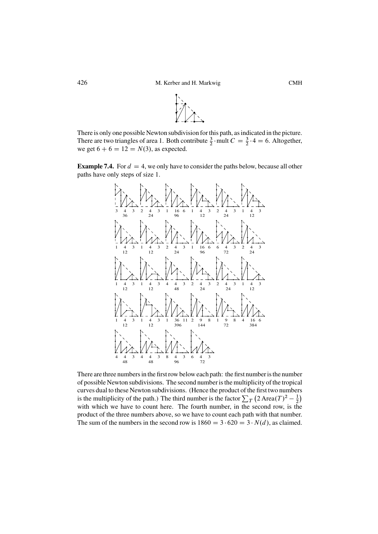

There is only one possible Newton subdivision for this path, as indicated in the picture. There are two triangles of area 1. Both contribute  $\frac{3}{2}$  mult  $C = \frac{3}{2} \cdot 4 = 6$ . Altogether, we get  $6 + 6 = 12 = N(3)$ , as expected.

**Example 7.4.** For  $d = 4$ , we only have to consider the paths below, because all other paths have only steps of size 1.



There are three numbers in the first row below each path: the first number is the number of possible Newton subdivisions. The second number is the multiplicity of the tropical curves dual to these Newton subdivisions. (Hence the product of the first two numbers is the multiplicity of the path.) The third number is the factor  $\sum_{T} (2 \text{ Area}(T)^2 - \frac{1}{2})$ <br>with which we have to count here. The fourth number in the second row, is the with which we have to count here. The fourth number, in the second row, is the product of the three numbers above, so we have to count each path with that number. The sum of the numbers in the second row is  $1860 = 3 \cdot 620 = 3 \cdot N(d)$ , as claimed.